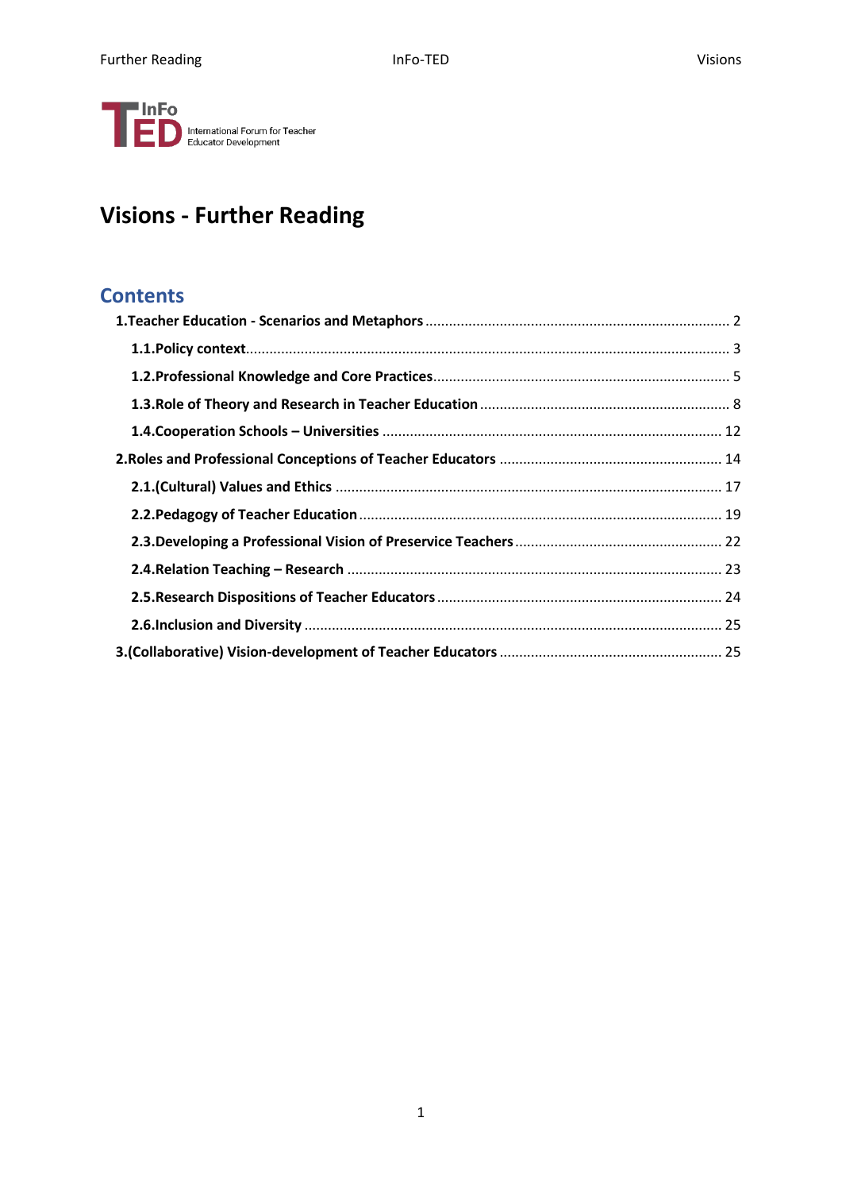

# **Visions - Further Reading**

### **Contents**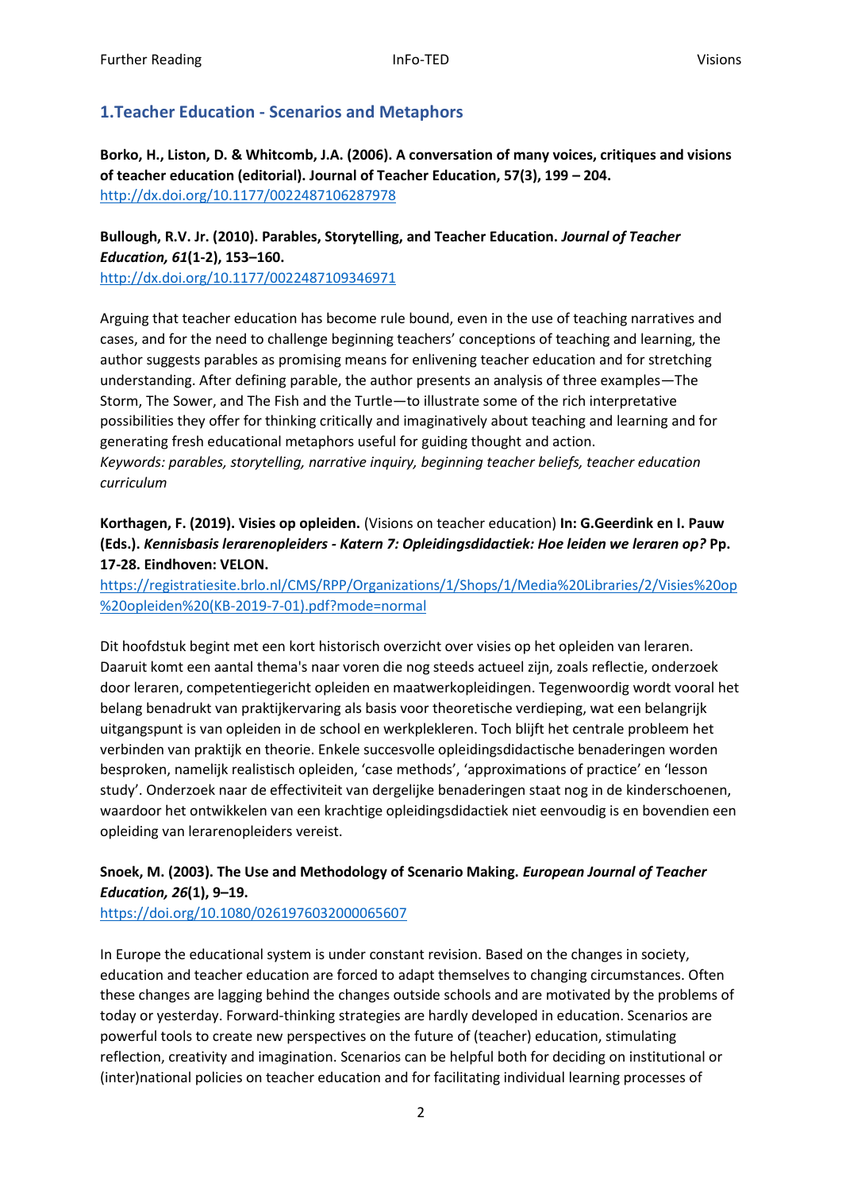### <span id="page-1-0"></span>**1.Teacher Education - Scenarios and Metaphors**

**Borko, H., Liston, D. & Whitcomb, J.A. (2006). A conversation of many voices, critiques and visions of teacher education (editorial). Journal of Teacher Education, 57(3), 199 – 204.** <http://dx.doi.org/10.1177/0022487106287978>

#### **Bullough, R.V. Jr. (2010). Parables, Storytelling, and Teacher Education.** *Journal of Teacher Education, 61***(1-2), 153–160.**

<http://dx.doi.org/10.1177/0022487109346971>

Arguing that teacher education has become rule bound, even in the use of teaching narratives and cases, and for the need to challenge beginning teachers' conceptions of teaching and learning, the author suggests parables as promising means for enlivening teacher education and for stretching understanding. After defining parable, the author presents an analysis of three examples—The Storm, The Sower, and The Fish and the Turtle—to illustrate some of the rich interpretative possibilities they offer for thinking critically and imaginatively about teaching and learning and for generating fresh educational metaphors useful for guiding thought and action. *Keywords: parables, storytelling, narrative inquiry, beginning teacher beliefs, teacher education curriculum* 

**Korthagen, F. (2019). Visies op opleiden.** (Visions on teacher education) **In: G.Geerdink en I. Pauw (Eds.).** *Kennisbasis lerarenopleiders - Katern 7: Opleidingsdidactiek: Hoe leiden we leraren op?* **Pp. 17-28. Eindhoven: VELON.**

[https://registratiesite.brlo.nl/CMS/RPP/Organizations/1/Shops/1/Media%20Libraries/2/Visies%20op](https://registratiesite.brlo.nl/CMS/RPP/Organizations/1/Shops/1/Media%20Libraries/2/Visies%20op%20opleiden%20(KB-2019-7-01).pdf?mode=normal) [%20opleiden%20\(KB-2019-7-01\).pdf?mode=normal](https://registratiesite.brlo.nl/CMS/RPP/Organizations/1/Shops/1/Media%20Libraries/2/Visies%20op%20opleiden%20(KB-2019-7-01).pdf?mode=normal)

Dit hoofdstuk begint met een kort historisch overzicht over visies op het opleiden van leraren. Daaruit komt een aantal thema's naar voren die nog steeds actueel zijn, zoals reflectie, onderzoek door leraren, competentiegericht opleiden en maatwerkopleidingen. Tegenwoordig wordt vooral het belang benadrukt van praktijkervaring als basis voor theoretische verdieping, wat een belangrijk uitgangspunt is van opleiden in de school en werkplekleren. Toch blijft het centrale probleem het verbinden van praktijk en theorie. Enkele succesvolle opleidingsdidactische benaderingen worden besproken, namelijk realistisch opleiden, 'case methods', 'approximations of practice' en 'lesson study'. Onderzoek naar de effectiviteit van dergelijke benaderingen staat nog in de kinderschoenen, waardoor het ontwikkelen van een krachtige opleidingsdidactiek niet eenvoudig is en bovendien een opleiding van lerarenopleiders vereist.

### **Snoek, M. (2003). The Use and Methodology of Scenario Making.** *European Journal of Teacher Education, 26***(1), 9–19.**

<https://doi.org/10.1080/0261976032000065607>

In Europe the educational system is under constant revision. Based on the changes in society, education and teacher education are forced to adapt themselves to changing circumstances. Often these changes are lagging behind the changes outside schools and are motivated by the problems of today or yesterday. Forward-thinking strategies are hardly developed in education. Scenarios are powerful tools to create new perspectives on the future of (teacher) education, stimulating reflection, creativity and imagination. Scenarios can be helpful both for deciding on institutional or (inter)national policies on teacher education and for facilitating individual learning processes of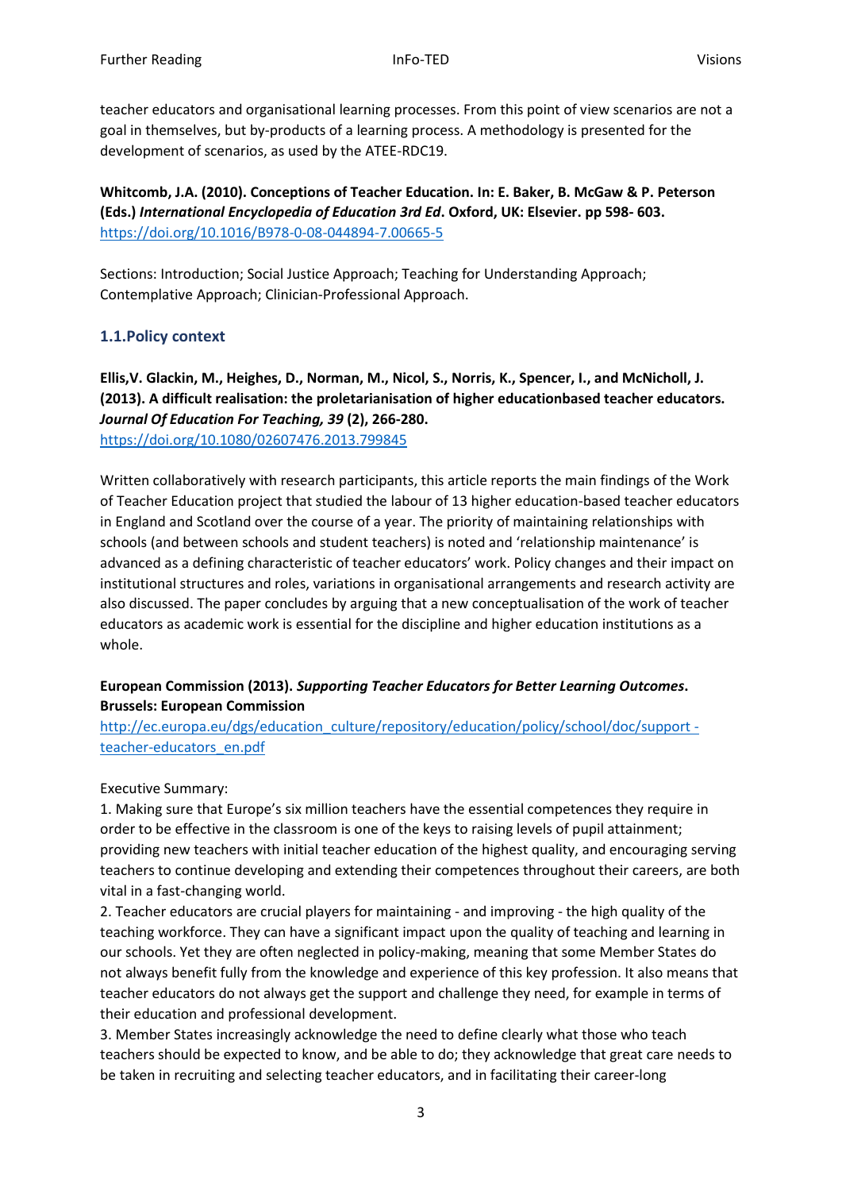teacher educators and organisational learning processes. From this point of view scenarios are not a goal in themselves, but by-products of a learning process. A methodology is presented for the development of scenarios, as used by the ATEE-RDC19.

**Whitcomb, J.A. (2010). Conceptions of Teacher Education. In: E. Baker, B. McGaw & P. Peterson (Eds.)** *International Encyclopedia of Education 3rd Ed***. Oxford, UK: Elsevier. pp 598- 603.**  <https://doi.org/10.1016/B978-0-08-044894-7.00665-5>

Sections: Introduction; Social Justice Approach; Teaching for Understanding Approach; Contemplative Approach; Clinician-Professional Approach.

### <span id="page-2-0"></span>**1.1.Policy context**

**Ellis,V. Glackin, M., Heighes, D., Norman, M., Nicol, S., Norris, K., Spencer, I., and McNicholl, J. (2013). A difficult realisation: the proletarianisation of higher educationbased teacher educators.**  *Journal Of Education For Teaching, 39* **(2), 266-280.**  <https://doi.org/10.1080/02607476.2013.799845>

Written collaboratively with research participants, this article reports the main findings of the Work of Teacher Education project that studied the labour of 13 higher education-based teacher educators in England and Scotland over the course of a year. The priority of maintaining relationships with schools (and between schools and student teachers) is noted and 'relationship maintenance' is advanced as a defining characteristic of teacher educators' work. Policy changes and their impact on institutional structures and roles, variations in organisational arrangements and research activity are also discussed. The paper concludes by arguing that a new conceptualisation of the work of teacher educators as academic work is essential for the discipline and higher education institutions as a whole.

### **European Commission (2013).** *Supporting Teacher Educators for Better Learning Outcomes***. Brussels: European Commission**

[http://ec.europa.eu/dgs/education\\_culture/repository/education/policy/school/doc/support](http://ec.europa.eu/dgs/education_culture/repository/education/policy/school/doc/support%20-teacher-educators_en.pdf)  [teacher-educators\\_en.pdf](http://ec.europa.eu/dgs/education_culture/repository/education/policy/school/doc/support%20-teacher-educators_en.pdf)

Executive Summary:

1. Making sure that Europe's six million teachers have the essential competences they require in order to be effective in the classroom is one of the keys to raising levels of pupil attainment; providing new teachers with initial teacher education of the highest quality, and encouraging serving teachers to continue developing and extending their competences throughout their careers, are both vital in a fast-changing world.

2. Teacher educators are crucial players for maintaining - and improving - the high quality of the teaching workforce. They can have a significant impact upon the quality of teaching and learning in our schools. Yet they are often neglected in policy-making, meaning that some Member States do not always benefit fully from the knowledge and experience of this key profession. It also means that teacher educators do not always get the support and challenge they need, for example in terms of their education and professional development.

3. Member States increasingly acknowledge the need to define clearly what those who teach teachers should be expected to know, and be able to do; they acknowledge that great care needs to be taken in recruiting and selecting teacher educators, and in facilitating their career-long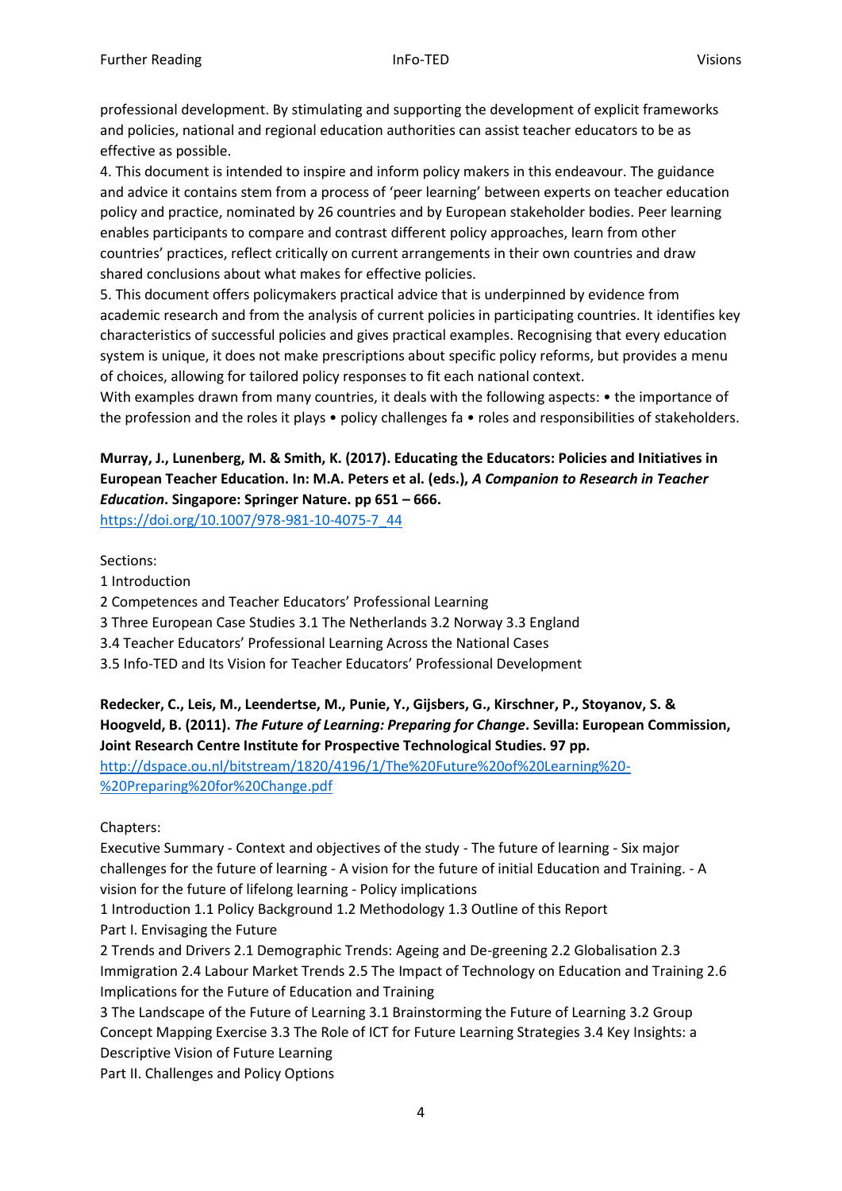professional development. By stimulating and supporting the development of explicit frameworks and policies, national and regional education authorities can assist teacher educators to be as effective as possible.

4. This document is intended to inspire and inform policy makers in this endeavour. The guidance and advice it contains stem from a process of 'peer learning' between experts on teacher education policy and practice, nominated by 26 countries and by European stakeholder bodies. Peer learning enables participants to compare and contrast different policy approaches, learn from other countries' practices, reflect critically on current arrangements in their own countries and draw shared conclusions about what makes for effective policies.

5. This document offers policymakers practical advice that is underpinned by evidence from academic research and from the analysis of current policies in participating countries. It identifies key characteristics of successful policies and gives practical examples. Recognising that every education system is unique, it does not make prescriptions about specific policy reforms, but provides a menu of choices, allowing for tailored policy responses to fit each national context.

With examples drawn from many countries, it deals with the following aspects: • the importance of the profession and the roles it plays • policy challenges fa • roles and responsibilities of stakeholders.

**Murray, J., Lunenberg, M. & Smith, K. (2017). Educating the Educators: Policies and Initiatives in European Teacher Education. In: M.A. Peters et al. (eds.),** *A Companion to Research in Teacher Education***. Singapore: Springer Nature. pp 651 – 666.**  [https://doi.org/10.1007/978-981-10-4075-7\\_44](https://doi.org/10.1007/978-981-10-4075-7_44)

Sections:

1 Introduction

2 Competences and Teacher Educators' Professional Learning

3 Three European Case Studies 3.1 The Netherlands 3.2 Norway 3.3 England

3.4 Teacher Educators' Professional Learning Across the National Cases

3.5 Info-TED and Its Vision for Teacher Educators' Professional Development

**Redecker, C., Leis, M., Leendertse, M., Punie, Y., Gijsbers, G., Kirschner, P., Stoyanov, S. & Hoogveld, B. (2011).** *The Future of Learning: Preparing for Change***. Sevilla: European Commission, Joint Research Centre Institute for Prospective Technological Studies. 97 pp.** [http://dspace.ou.nl/bitstream/1820/4196/1/The%20Future%20of%20Learning%20-](http://dspace.ou.nl/bitstream/1820/4196/1/The%20Future%20of%20Learning%20-%20Preparing%20for%20Change.pdf) [%20Preparing%20for%20Change.pdf](http://dspace.ou.nl/bitstream/1820/4196/1/The%20Future%20of%20Learning%20-%20Preparing%20for%20Change.pdf)

#### Chapters:

Executive Summary - Context and objectives of the study - The future of learning - Six major challenges for the future of learning - A vision for the future of initial Education and Training. - A vision for the future of lifelong learning - Policy implications

1 Introduction 1.1 Policy Background 1.2 Methodology 1.3 Outline of this Report Part I. Envisaging the Future

2 Trends and Drivers 2.1 Demographic Trends: Ageing and De-greening 2.2 Globalisation 2.3 Immigration 2.4 Labour Market Trends 2.5 The Impact of Technology on Education and Training 2.6 Implications for the Future of Education and Training

3 The Landscape of the Future of Learning 3.1 Brainstorming the Future of Learning 3.2 Group Concept Mapping Exercise 3.3 The Role of ICT for Future Learning Strategies 3.4 Key Insights: a Descriptive Vision of Future Learning

Part II. Challenges and Policy Options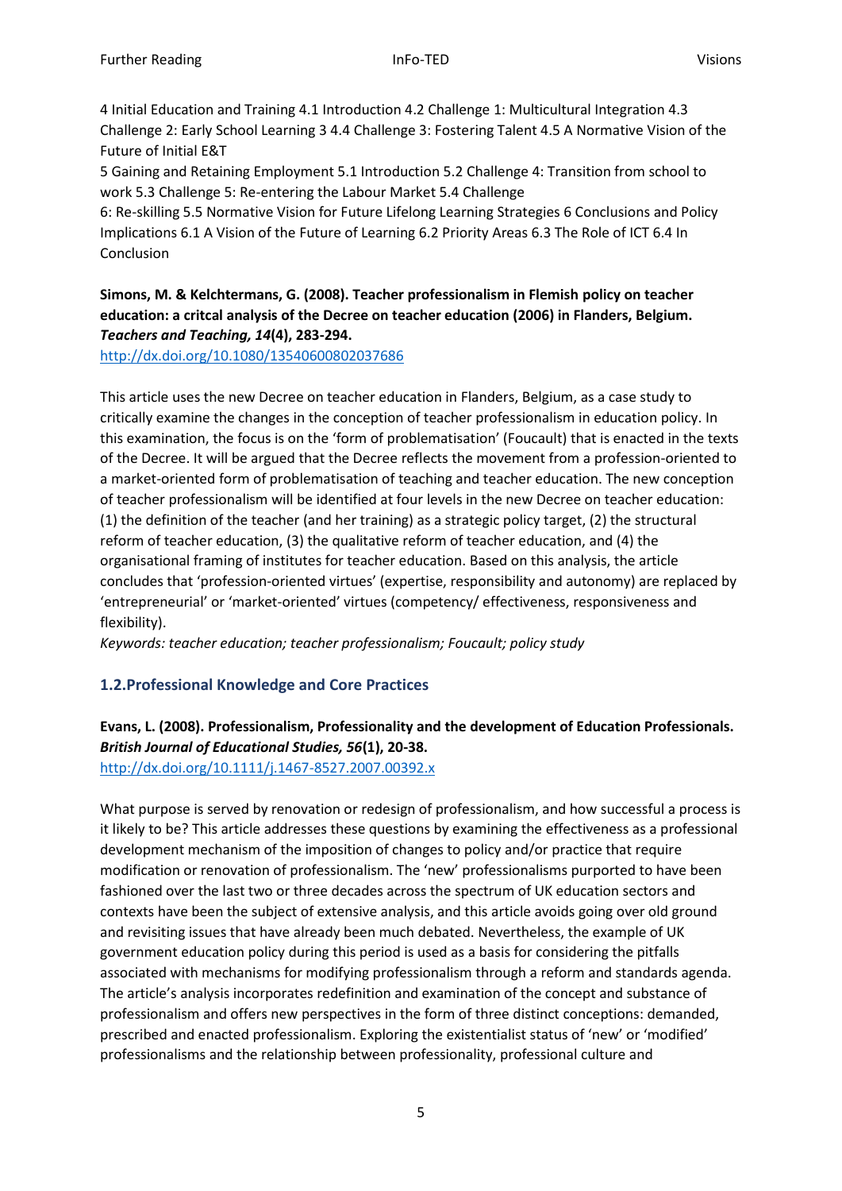4 Initial Education and Training 4.1 Introduction 4.2 Challenge 1: Multicultural Integration 4.3 Challenge 2: Early School Learning 3 4.4 Challenge 3: Fostering Talent 4.5 A Normative Vision of the Future of Initial E&T

5 Gaining and Retaining Employment 5.1 Introduction 5.2 Challenge 4: Transition from school to work 5.3 Challenge 5: Re-entering the Labour Market 5.4 Challenge

6: Re-skilling 5.5 Normative Vision for Future Lifelong Learning Strategies 6 Conclusions and Policy Implications 6.1 A Vision of the Future of Learning 6.2 Priority Areas 6.3 The Role of ICT 6.4 In Conclusion

### **Simons, M. & Kelchtermans, G. (2008). Teacher professionalism in Flemish policy on teacher education: a critcal analysis of the Decree on teacher education (2006) in Flanders, Belgium.**  *Teachers and Teaching, 14***(4), 283-294.**

<http://dx.doi.org/10.1080/13540600802037686>

This article uses the new Decree on teacher education in Flanders, Belgium, as a case study to critically examine the changes in the conception of teacher professionalism in education policy. In this examination, the focus is on the 'form of problematisation' (Foucault) that is enacted in the texts of the Decree. It will be argued that the Decree reflects the movement from a profession-oriented to a market-oriented form of problematisation of teaching and teacher education. The new conception of teacher professionalism will be identified at four levels in the new Decree on teacher education: (1) the definition of the teacher (and her training) as a strategic policy target, (2) the structural reform of teacher education, (3) the qualitative reform of teacher education, and (4) the organisational framing of institutes for teacher education. Based on this analysis, the article concludes that 'profession-oriented virtues' (expertise, responsibility and autonomy) are replaced by 'entrepreneurial' or 'market-oriented' virtues (competency/ effectiveness, responsiveness and flexibility).

*Keywords: teacher education; teacher professionalism; Foucault; policy study* 

#### <span id="page-4-0"></span>**1.2.Professional Knowledge and Core Practices**

### **Evans, L. (2008). Professionalism, Professionality and the development of Education Professionals.**  *British Journal of Educational Studies, 56***(1), 20-38.**

<http://dx.doi.org/10.1111/j.1467-8527.2007.00392.x>

What purpose is served by renovation or redesign of professionalism, and how successful a process is it likely to be? This article addresses these questions by examining the effectiveness as a professional development mechanism of the imposition of changes to policy and/or practice that require modification or renovation of professionalism. The 'new' professionalisms purported to have been fashioned over the last two or three decades across the spectrum of UK education sectors and contexts have been the subject of extensive analysis, and this article avoids going over old ground and revisiting issues that have already been much debated. Nevertheless, the example of UK government education policy during this period is used as a basis for considering the pitfalls associated with mechanisms for modifying professionalism through a reform and standards agenda. The article's analysis incorporates redefinition and examination of the concept and substance of professionalism and offers new perspectives in the form of three distinct conceptions: demanded, prescribed and enacted professionalism. Exploring the existentialist status of 'new' or 'modified' professionalisms and the relationship between professionality, professional culture and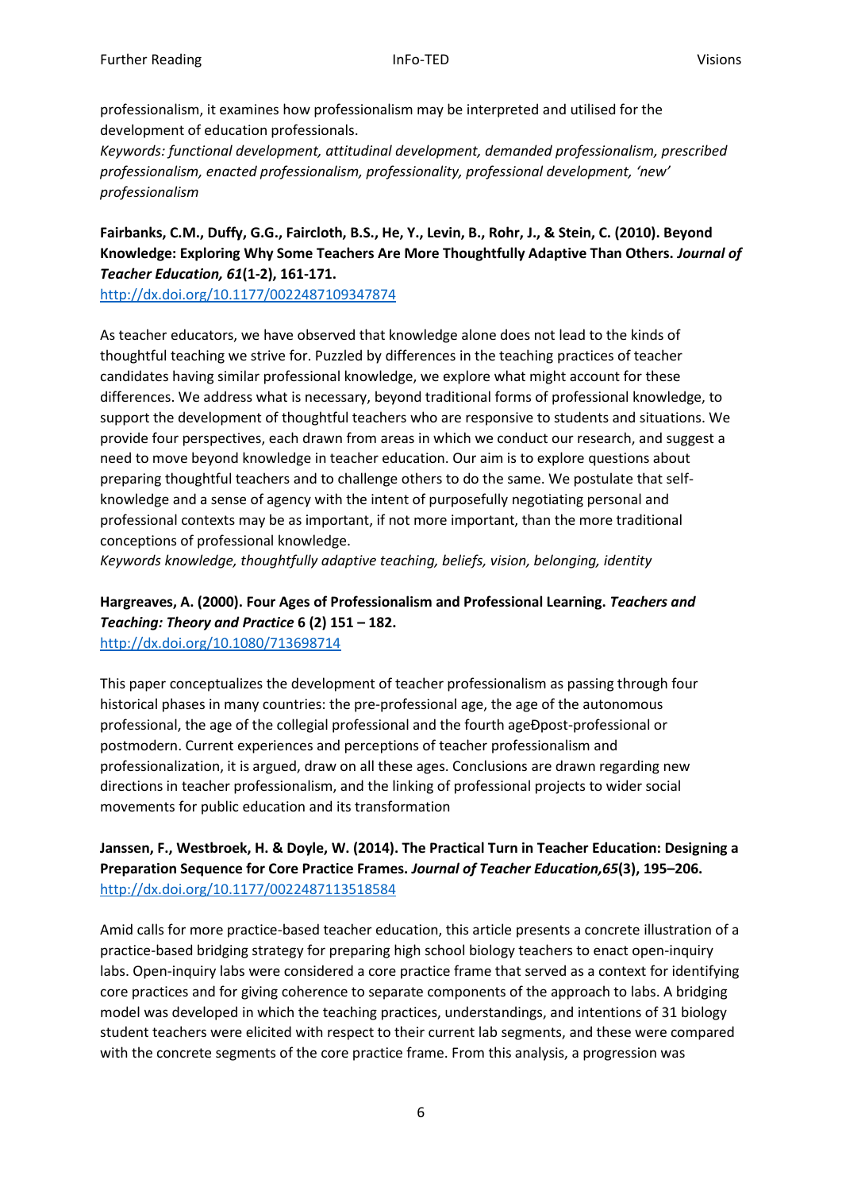professionalism, it examines how professionalism may be interpreted and utilised for the development of education professionals.

*Keywords: functional development, attitudinal development, demanded professionalism, prescribed professionalism, enacted professionalism, professionality, professional development, 'new' professionalism* 

### **Fairbanks, C.M., Duffy, G.G., Faircloth, B.S., He, Y., Levin, B., Rohr, J., & Stein, C. (2010). Beyond Knowledge: Exploring Why Some Teachers Are More Thoughtfully Adaptive Than Others.** *Journal of Teacher Education, 61***(1-2), 161-171.**

<http://dx.doi.org/10.1177/0022487109347874>

As teacher educators, we have observed that knowledge alone does not lead to the kinds of thoughtful teaching we strive for. Puzzled by differences in the teaching practices of teacher candidates having similar professional knowledge, we explore what might account for these differences. We address what is necessary, beyond traditional forms of professional knowledge, to support the development of thoughtful teachers who are responsive to students and situations. We provide four perspectives, each drawn from areas in which we conduct our research, and suggest a need to move beyond knowledge in teacher education. Our aim is to explore questions about preparing thoughtful teachers and to challenge others to do the same. We postulate that selfknowledge and a sense of agency with the intent of purposefully negotiating personal and professional contexts may be as important, if not more important, than the more traditional conceptions of professional knowledge.

*Keywords [knowledge,](http://journals.sagepub.com.vu-nl.idm.oclc.org/keyword/Knowledge) [thoughtfully adaptive teaching,](http://journals.sagepub.com.vu-nl.idm.oclc.org/keyword/Thoughtfully+Adaptive+Teaching) [beliefs,](http://journals.sagepub.com.vu-nl.idm.oclc.org/keyword/Beliefs) [vision,](http://journals.sagepub.com.vu-nl.idm.oclc.org/keyword/Vision) [belonging,](http://journals.sagepub.com.vu-nl.idm.oclc.org/keyword/Belonging) [identity](http://journals.sagepub.com.vu-nl.idm.oclc.org/keyword/Identity)*

## **Hargreaves, A. (2000). Four Ages of Professionalism and Professional Learning.** *Teachers and Teaching: Theory and Practice* **6 (2) 151 – 182.**

<http://dx.doi.org/10.1080/713698714>

This paper conceptualizes the development of teacher professionalism as passing through four historical phases in many countries: the pre-professional age, the age of the autonomous professional, the age of the collegial professional and the fourth ageÐpost-professional or postmodern. Current experiences and perceptions of teacher professionalism and professionalization, it is argued, draw on all these ages. Conclusions are drawn regarding new directions in teacher professionalism, and the linking of professional projects to wider social movements for public education and its transformation

**Janssen, F., Westbroek, H. & Doyle, W. (2014). The Practical Turn in Teacher Education: Designing a Preparation Sequence for Core Practice Frames.** *Journal of Teacher Education,65***(3), 195–206.**  <http://dx.doi.org/10.1177/0022487113518584>

Amid calls for more practice-based teacher education, this article presents a concrete illustration of a practice-based bridging strategy for preparing high school biology teachers to enact open-inquiry labs. Open-inquiry labs were considered a core practice frame that served as a context for identifying core practices and for giving coherence to separate components of the approach to labs. A bridging model was developed in which the teaching practices, understandings, and intentions of 31 biology student teachers were elicited with respect to their current lab segments, and these were compared with the concrete segments of the core practice frame. From this analysis, a progression was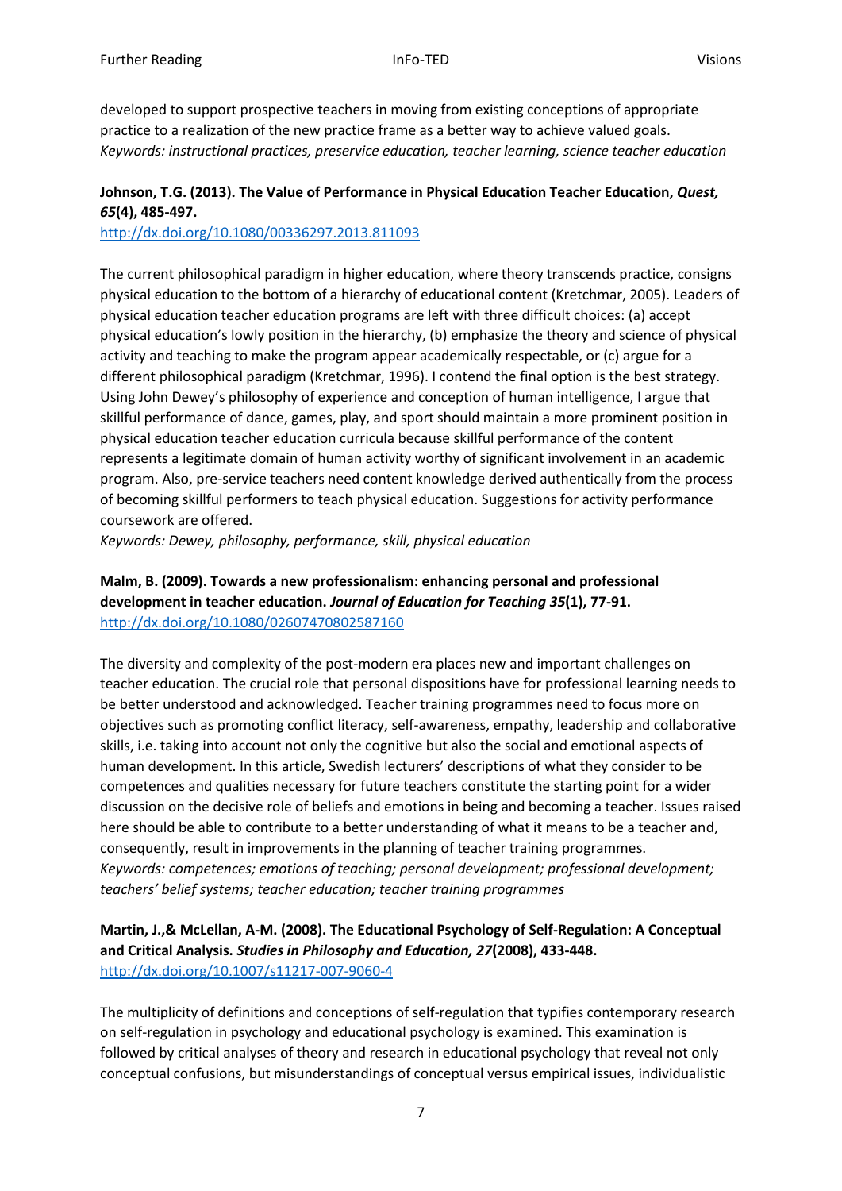developed to support prospective teachers in moving from existing conceptions of appropriate practice to a realization of the new practice frame as a better way to achieve valued goals. *Keywords: instructional practices, preservice education, teacher learning, science teacher education* 

### **Johnson, T.G. (2013). The Value of Performance in Physical Education Teacher Education,** *Quest, 65***(4), 485-497.**

<http://dx.doi.org/10.1080/00336297.2013.811093>

The current philosophical paradigm in higher education, where theory transcends practice, consigns physical education to the bottom of a hierarchy of educational content (Kretchmar, 2005). Leaders of physical education teacher education programs are left with three difficult choices: (a) accept physical education's lowly position in the hierarchy, (b) emphasize the theory and science of physical activity and teaching to make the program appear academically respectable, or (c) argue for a different philosophical paradigm (Kretchmar, 1996). I contend the final option is the best strategy. Using John Dewey's philosophy of experience and conception of human intelligence, I argue that skillful performance of dance, games, play, and sport should maintain a more prominent position in physical education teacher education curricula because skillful performance of the content represents a legitimate domain of human activity worthy of significant involvement in an academic program. Also, pre-service teachers need content knowledge derived authentically from the process of becoming skillful performers to teach physical education. Suggestions for activity performance coursework are offered.

*Keywords: Dewey, philosophy, performance, skill, physical education* 

### **Malm, B. (2009). Towards a new professionalism: enhancing personal and professional development in teacher education.** *Journal of Education for Teaching 35***(1), 77-91.** <http://dx.doi.org/10.1080/02607470802587160>

The diversity and complexity of the post-modern era places new and important challenges on teacher education. The crucial role that personal dispositions have for professional learning needs to be better understood and acknowledged. Teacher training programmes need to focus more on objectives such as promoting conflict literacy, self-awareness, empathy, leadership and collaborative skills, i.e. taking into account not only the cognitive but also the social and emotional aspects of human development. In this article, Swedish lecturers' descriptions of what they consider to be competences and qualities necessary for future teachers constitute the starting point for a wider discussion on the decisive role of beliefs and emotions in being and becoming a teacher. Issues raised here should be able to contribute to a better understanding of what it means to be a teacher and, consequently, result in improvements in the planning of teacher training programmes. *Keywords: competences; emotions of teaching; personal development; professional development; teachers' belief systems; teacher education; teacher training programmes*

### **Martin, J.,& McLellan, A-M. (2008). The Educational Psychology of Self-Regulation: A Conceptual and Critical Analysis.** *Studies in Philosophy and Education, 27***(2008), 433-448.**  <http://dx.doi.org/10.1007/s11217-007-9060-4>

The multiplicity of definitions and conceptions of self-regulation that typifies contemporary research on self-regulation in psychology and educational psychology is examined. This examination is followed by critical analyses of theory and research in educational psychology that reveal not only conceptual confusions, but misunderstandings of conceptual versus empirical issues, individualistic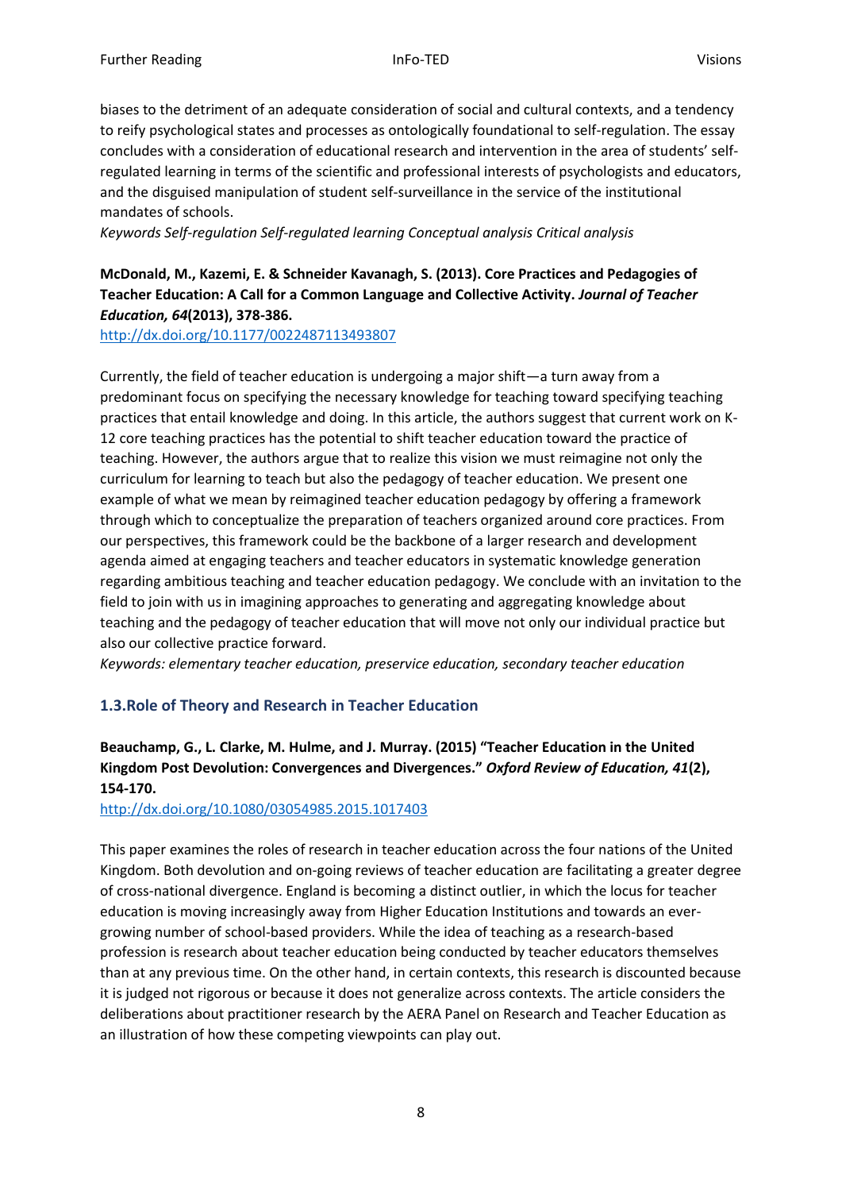biases to the detriment of an adequate consideration of social and cultural contexts, and a tendency to reify psychological states and processes as ontologically foundational to self-regulation. The essay concludes with a consideration of educational research and intervention in the area of students' selfregulated learning in terms of the scientific and professional interests of psychologists and educators, and the disguised manipulation of student self-surveillance in the service of the institutional mandates of schools.

*Keywords Self-regulation Self-regulated learning Conceptual analysis Critical analysis* 

### **McDonald, M., Kazemi, E. & Schneider Kavanagh, S. (2013). Core Practices and Pedagogies of Teacher Education: A Call for a Common Language and Collective Activity.** *Journal of Teacher Education, 64***(2013), 378-386.**

<http://dx.doi.org/10.1177/0022487113493807>

Currently, the field of teacher education is undergoing a major shift—a turn away from a predominant focus on specifying the necessary knowledge for teaching toward specifying teaching practices that entail knowledge and doing. In this article, the authors suggest that current work on K-12 core teaching practices has the potential to shift teacher education toward the practice of teaching. However, the authors argue that to realize this vision we must reimagine not only the curriculum for learning to teach but also the pedagogy of teacher education. We present one example of what we mean by reimagined teacher education pedagogy by offering a framework through which to conceptualize the preparation of teachers organized around core practices. From our perspectives, this framework could be the backbone of a larger research and development agenda aimed at engaging teachers and teacher educators in systematic knowledge generation regarding ambitious teaching and teacher education pedagogy. We conclude with an invitation to the field to join with us in imagining approaches to generating and aggregating knowledge about teaching and the pedagogy of teacher education that will move not only our individual practice but also our collective practice forward.

*Keywords: elementary teacher education, preservice education, secondary teacher education* 

### <span id="page-7-0"></span>**1.3.Role of Theory and Research in Teacher Education**

### **Beauchamp, G., L. Clarke, M. Hulme, and J. Murray. (2015) "Teacher Education in the United Kingdom Post Devolution: Convergences and Divergences."** *Oxford Review of Education, 41***(2), 154-170.**

<http://dx.doi.org/10.1080/03054985.2015.1017403>

This paper examines the roles of research in teacher education across the four nations of the United Kingdom. Both devolution and on-going reviews of teacher education are facilitating a greater degree of cross-national divergence. England is becoming a distinct outlier, in which the locus for teacher education is moving increasingly away from Higher Education Institutions and towards an evergrowing number of school-based providers. While the idea of teaching as a research-based profession is research about teacher education being conducted by teacher educators themselves than at any previous time. On the other hand, in certain contexts, this research is discounted because it is judged not rigorous or because it does not generalize across contexts. The article considers the deliberations about practitioner research by the AERA Panel on Research and Teacher Education as an illustration of how these competing viewpoints can play out.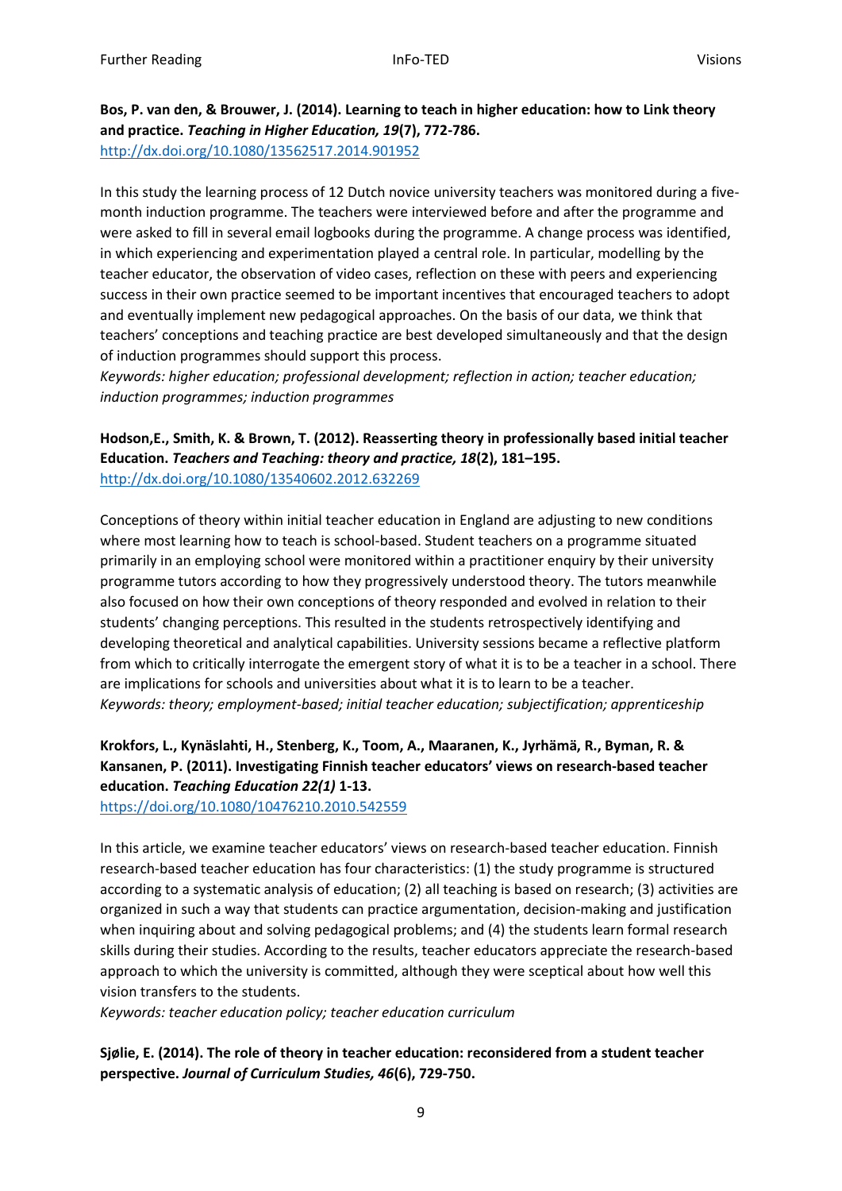### **Bos, P. van den, & Brouwer, J. (2014). Learning to teach in higher education: how to Link theory and practice.** *Teaching in Higher Education, 19***(7), 772-786.** <http://dx.doi.org/10.1080/13562517.2014.901952>

In this study the learning process of 12 Dutch novice university teachers was monitored during a fivemonth induction programme. The teachers were interviewed before and after the programme and were asked to fill in several email logbooks during the programme. A change process was identified, in which experiencing and experimentation played a central role. In particular, modelling by the teacher educator, the observation of video cases, reflection on these with peers and experiencing success in their own practice seemed to be important incentives that encouraged teachers to adopt and eventually implement new pedagogical approaches. On the basis of our data, we think that teachers' conceptions and teaching practice are best developed simultaneously and that the design of induction programmes should support this process.

*Keywords: higher education; professional development; reflection in action; teacher education; induction programmes; induction programmes* 

**Hodson,E., Smith, K. & Brown, T. (2012). Reasserting theory in professionally based initial teacher Education.** *Teachers and Teaching: theory and practice, 18***(2), 181–195.**  <http://dx.doi.org/10.1080/13540602.2012.632269>

Conceptions of theory within initial teacher education in England are adjusting to new conditions where most learning how to teach is school-based. Student teachers on a programme situated primarily in an employing school were monitored within a practitioner enquiry by their university programme tutors according to how they progressively understood theory. The tutors meanwhile also focused on how their own conceptions of theory responded and evolved in relation to their students' changing perceptions. This resulted in the students retrospectively identifying and developing theoretical and analytical capabilities. University sessions became a reflective platform from which to critically interrogate the emergent story of what it is to be a teacher in a school. There are implications for schools and universities about what it is to learn to be a teacher. *Keywords: theory; employment-based; initial teacher education; subjectification; apprenticeship* 

### **Krokfors, L., Kynäslahti, H., Stenberg, K., Toom, A., Maaranen, K., Jyrhämä, R., Byman, R. & Kansanen, P. (2011). Investigating Finnish teacher educators' views on research-based teacher education.** *Teaching Education 22(1)* **1-13.**

<https://doi.org/10.1080/10476210.2010.542559>

In this article, we examine teacher educators' views on research-based teacher education. Finnish research-based teacher education has four characteristics: (1) the study programme is structured according to a systematic analysis of education; (2) all teaching is based on research; (3) activities are organized in such a way that students can practice argumentation, decision-making and justification when inquiring about and solving pedagogical problems; and (4) the students learn formal research skills during their studies. According to the results, teacher educators appreciate the research-based approach to which the university is committed, although they were sceptical about how well this vision transfers to the students.

*Keywords: teacher education policy; teacher education curriculum* 

**Sjølie, E. (2014). The role of theory in teacher education: reconsidered from a student teacher perspective.** *Journal of Curriculum Studies, 46***(6), 729-750.**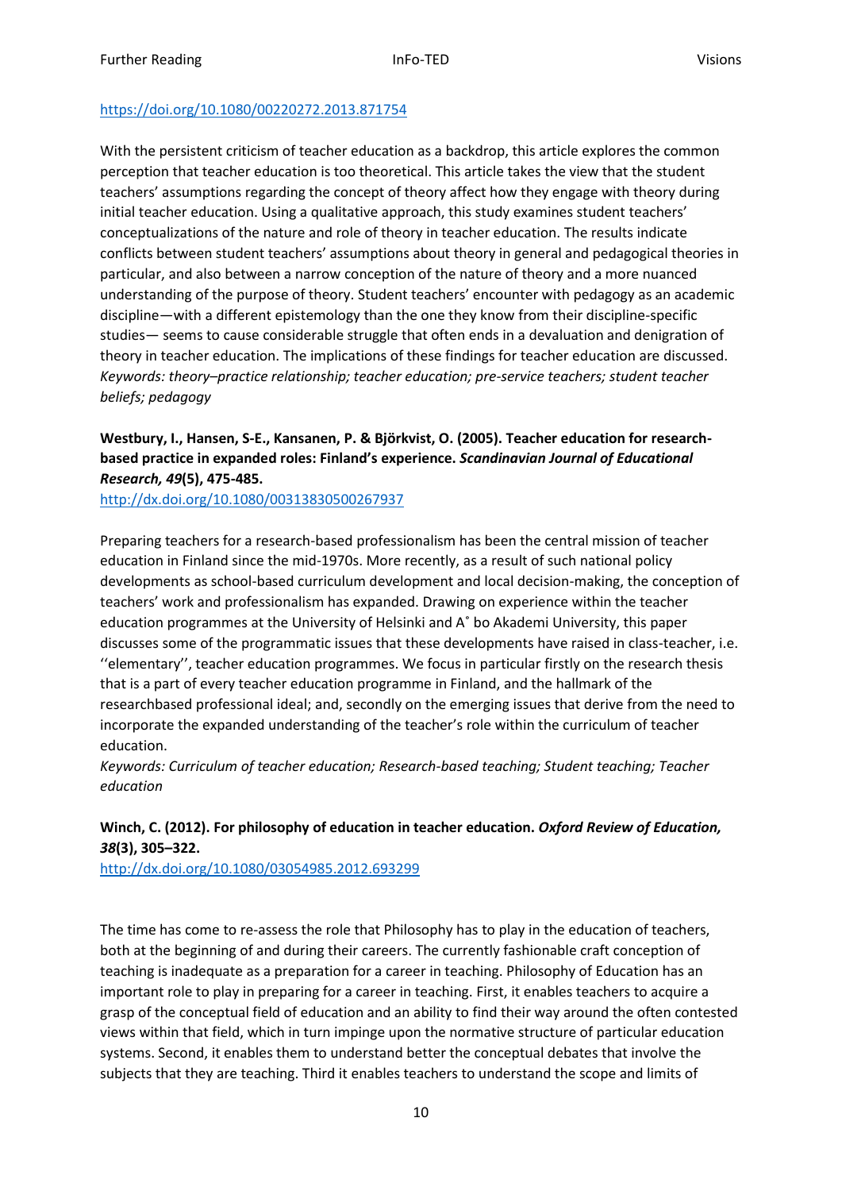#### <https://doi.org/10.1080/00220272.2013.871754>

With the persistent criticism of teacher education as a backdrop, this article explores the common perception that teacher education is too theoretical. This article takes the view that the student teachers' assumptions regarding the concept of theory affect how they engage with theory during initial teacher education. Using a qualitative approach, this study examines student teachers' conceptualizations of the nature and role of theory in teacher education. The results indicate conflicts between student teachers' assumptions about theory in general and pedagogical theories in particular, and also between a narrow conception of the nature of theory and a more nuanced understanding of the purpose of theory. Student teachers' encounter with pedagogy as an academic discipline—with a different epistemology than the one they know from their discipline-specific studies— seems to cause considerable struggle that often ends in a devaluation and denigration of theory in teacher education. The implications of these findings for teacher education are discussed. *Keywords: theory–practice relationship; teacher education; pre-service teachers; student teacher beliefs; pedagogy* 

### **Westbury, I., Hansen, S-E., Kansanen, P. & Björkvist, O. (2005). Teacher education for researchbased practice in expanded roles: Finland's experience.** *Scandinavian Journal of Educational Research, 49***(5), 475-485.**

<http://dx.doi.org/10.1080/00313830500267937>

Preparing teachers for a research-based professionalism has been the central mission of teacher education in Finland since the mid-1970s. More recently, as a result of such national policy developments as school-based curriculum development and local decision-making, the conception of teachers' work and professionalism has expanded. Drawing on experience within the teacher education programmes at the University of Helsinki and A˚ bo Akademi University, this paper discusses some of the programmatic issues that these developments have raised in class-teacher, i.e. ''elementary'', teacher education programmes. We focus in particular firstly on the research thesis that is a part of every teacher education programme in Finland, and the hallmark of the researchbased professional ideal; and, secondly on the emerging issues that derive from the need to incorporate the expanded understanding of the teacher's role within the curriculum of teacher education.

*Keywords: Curriculum of teacher education; Research-based teaching; Student teaching; Teacher education* 

#### **Winch, C. (2012). For philosophy of education in teacher education.** *Oxford Review of Education, 38***(3), 305–322.**

<http://dx.doi.org/10.1080/03054985.2012.693299>

The time has come to re-assess the role that Philosophy has to play in the education of teachers, both at the beginning of and during their careers. The currently fashionable craft conception of teaching is inadequate as a preparation for a career in teaching. Philosophy of Education has an important role to play in preparing for a career in teaching. First, it enables teachers to acquire a grasp of the conceptual field of education and an ability to find their way around the often contested views within that field, which in turn impinge upon the normative structure of particular education systems. Second, it enables them to understand better the conceptual debates that involve the subjects that they are teaching. Third it enables teachers to understand the scope and limits of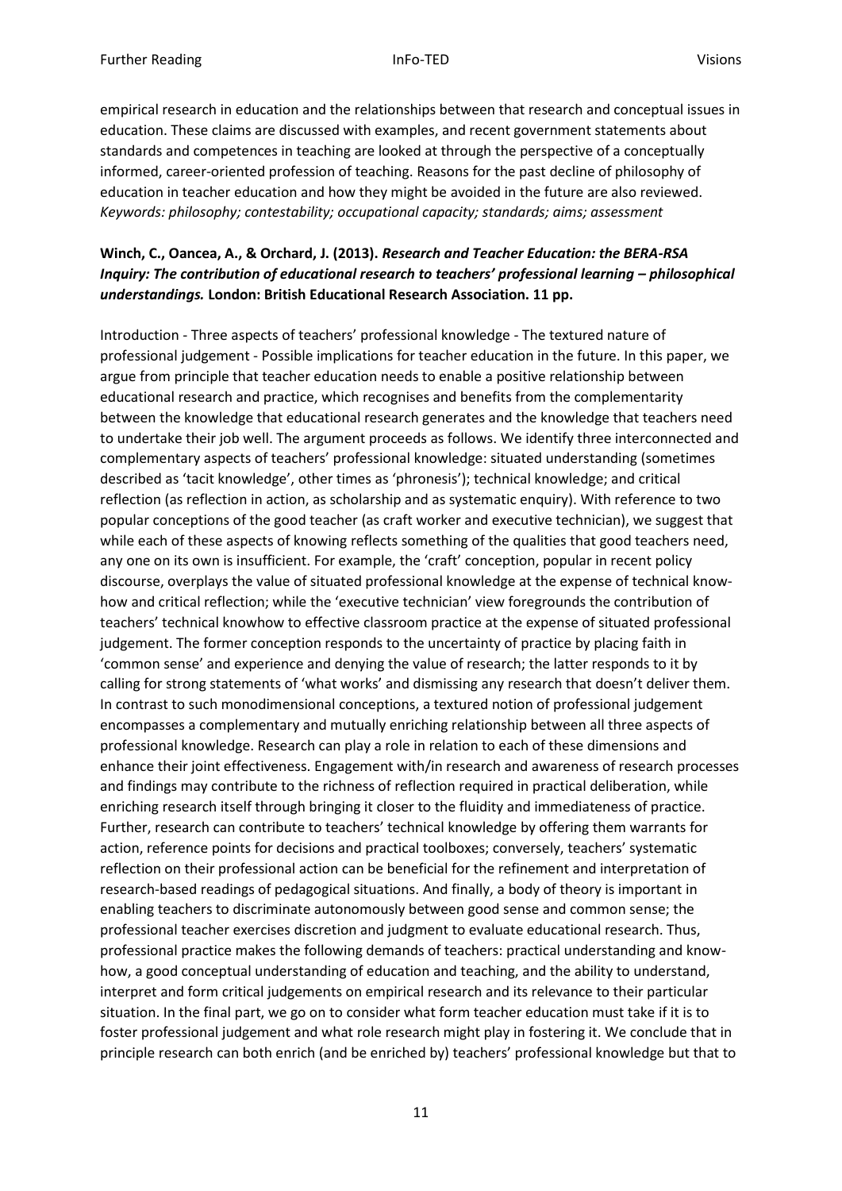empirical research in education and the relationships between that research and conceptual issues in education. These claims are discussed with examples, and recent government statements about standards and competences in teaching are looked at through the perspective of a conceptually informed, career-oriented profession of teaching. Reasons for the past decline of philosophy of education in teacher education and how they might be avoided in the future are also reviewed. *Keywords: philosophy; contestability; occupational capacity; standards; aims; assessment* 

### **Winch, C., Oancea, A., & Orchard, J. (2013).** *Research and Teacher Education: the BERA-RSA Inquiry: The contribution of educational research to teachers' professional learning – philosophical understandings.* **London: British Educational Research Association. 11 pp.**

Introduction - Three aspects of teachers' professional knowledge - The textured nature of professional judgement - Possible implications for teacher education in the future. In this paper, we argue from principle that teacher education needs to enable a positive relationship between educational research and practice, which recognises and benefits from the complementarity between the knowledge that educational research generates and the knowledge that teachers need to undertake their job well. The argument proceeds as follows. We identify three interconnected and complementary aspects of teachers' professional knowledge: situated understanding (sometimes described as 'tacit knowledge', other times as 'phronesis'); technical knowledge; and critical reflection (as reflection in action, as scholarship and as systematic enquiry). With reference to two popular conceptions of the good teacher (as craft worker and executive technician), we suggest that while each of these aspects of knowing reflects something of the qualities that good teachers need, any one on its own is insufficient. For example, the 'craft' conception, popular in recent policy discourse, overplays the value of situated professional knowledge at the expense of technical knowhow and critical reflection; while the 'executive technician' view foregrounds the contribution of teachers' technical knowhow to effective classroom practice at the expense of situated professional judgement. The former conception responds to the uncertainty of practice by placing faith in 'common sense' and experience and denying the value of research; the latter responds to it by calling for strong statements of 'what works' and dismissing any research that doesn't deliver them. In contrast to such monodimensional conceptions, a textured notion of professional judgement encompasses a complementary and mutually enriching relationship between all three aspects of professional knowledge. Research can play a role in relation to each of these dimensions and enhance their joint effectiveness. Engagement with/in research and awareness of research processes and findings may contribute to the richness of reflection required in practical deliberation, while enriching research itself through bringing it closer to the fluidity and immediateness of practice. Further, research can contribute to teachers' technical knowledge by offering them warrants for action, reference points for decisions and practical toolboxes; conversely, teachers' systematic reflection on their professional action can be beneficial for the refinement and interpretation of research-based readings of pedagogical situations. And finally, a body of theory is important in enabling teachers to discriminate autonomously between good sense and common sense; the professional teacher exercises discretion and judgment to evaluate educational research. Thus, professional practice makes the following demands of teachers: practical understanding and knowhow, a good conceptual understanding of education and teaching, and the ability to understand, interpret and form critical judgements on empirical research and its relevance to their particular situation. In the final part, we go on to consider what form teacher education must take if it is to foster professional judgement and what role research might play in fostering it. We conclude that in principle research can both enrich (and be enriched by) teachers' professional knowledge but that to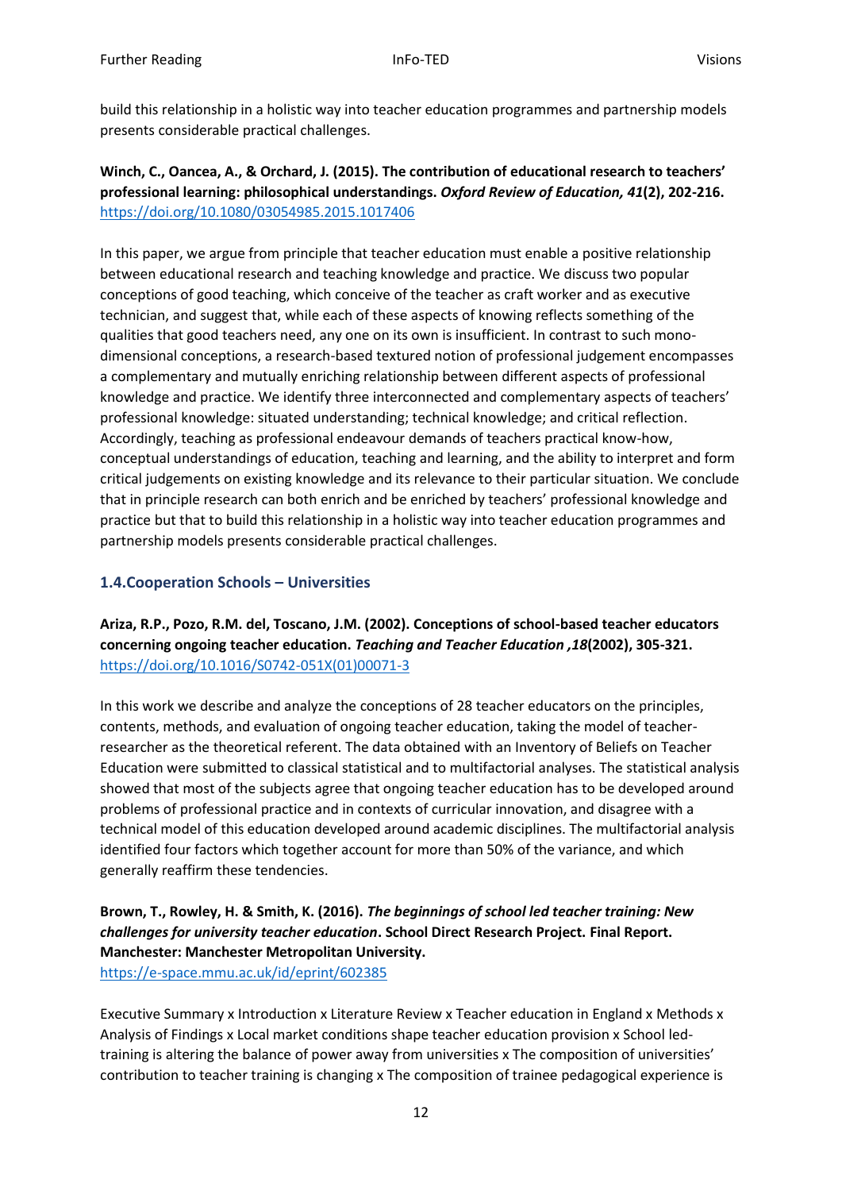build this relationship in a holistic way into teacher education programmes and partnership models presents considerable practical challenges.

### **Winch, C., Oancea, A., & Orchard, J. (2015). The contribution of educational research to teachers' professional learning: philosophical understandings.** *Oxford Review of Education, 41***(2), 202-216.** <https://doi.org/10.1080/03054985.2015.1017406>

In this paper, we argue from principle that teacher education must enable a positive relationship between educational research and teaching knowledge and practice. We discuss two popular conceptions of good teaching, which conceive of the teacher as craft worker and as executive technician, and suggest that, while each of these aspects of knowing reflects something of the qualities that good teachers need, any one on its own is insufficient. In contrast to such monodimensional conceptions, a research-based textured notion of professional judgement encompasses a complementary and mutually enriching relationship between different aspects of professional knowledge and practice. We identify three interconnected and complementary aspects of teachers' professional knowledge: situated understanding; technical knowledge; and critical reflection. Accordingly, teaching as professional endeavour demands of teachers practical know-how, conceptual understandings of education, teaching and learning, and the ability to interpret and form critical judgements on existing knowledge and its relevance to their particular situation. We conclude that in principle research can both enrich and be enriched by teachers' professional knowledge and practice but that to build this relationship in a holistic way into teacher education programmes and partnership models presents considerable practical challenges.

### <span id="page-11-0"></span>**1.4.Cooperation Schools – Universities**

**Ariza, R.P., Pozo, R.M. del, Toscano, J.M. (2002). Conceptions of school-based teacher educators concerning ongoing teacher education.** *Teaching and Teacher Education ,18***(2002), 305-321.**  [https://doi.org/10.1016/S0742-051X\(01\)00071-3](https://doi.org/10.1016/S0742-051X(01)00071-3)

In this work we describe and analyze the conceptions of 28 teacher educators on the principles, contents, methods, and evaluation of ongoing teacher education, taking the model of teacherresearcher as the theoretical referent. The data obtained with an Inventory of Beliefs on Teacher Education were submitted to classical statistical and to multifactorial analyses. The statistical analysis showed that most of the subjects agree that ongoing teacher education has to be developed around problems of professional practice and in contexts of curricular innovation, and disagree with a technical model of this education developed around academic disciplines. The multifactorial analysis identified four factors which together account for more than 50% of the variance, and which generally reaffirm these tendencies.

### **Brown, T., Rowley, H. & Smith, K. (2016).** *The beginnings of school led teacher training: New challenges for university teacher education***. School Direct Research Project. Final Report. Manchester: Manchester Metropolitan University.**

<https://e-space.mmu.ac.uk/id/eprint/602385>

Executive Summary x Introduction x Literature Review x Teacher education in England x Methods x Analysis of Findings x Local market conditions shape teacher education provision x School ledtraining is altering the balance of power away from universities x The composition of universities' contribution to teacher training is changing x The composition of trainee pedagogical experience is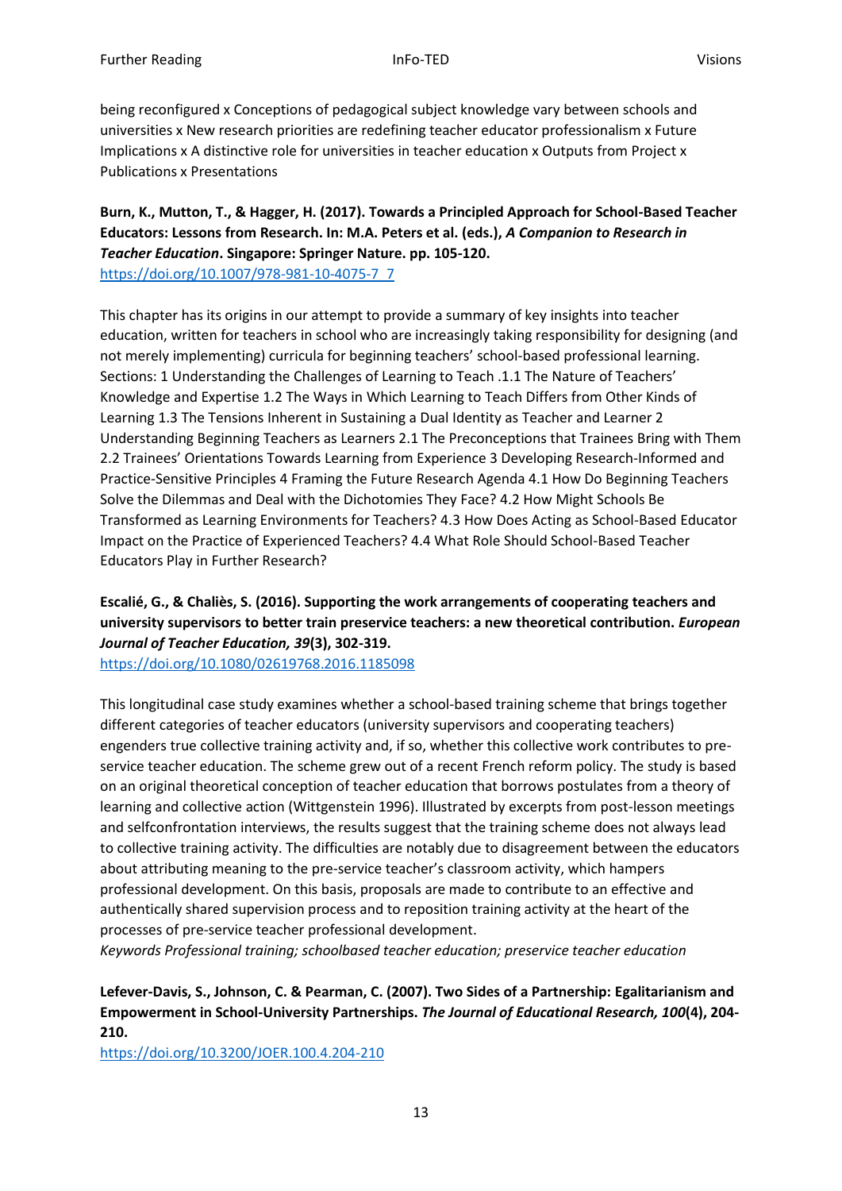being reconfigured x Conceptions of pedagogical subject knowledge vary between schools and universities x New research priorities are redefining teacher educator professionalism x Future Implications x A distinctive role for universities in teacher education x Outputs from Project x Publications x Presentations

### **Burn, K., Mutton, T., & Hagger, H. (2017). Towards a Principled Approach for School-Based Teacher Educators: Lessons from Research. In: M.A. Peters et al. (eds.),** *A Companion to Research in Teacher Education***. Singapore: Springer Nature. pp. 105-120.**  [https://doi.org/10.1007/978-981-10-4075-7\\_7](https://doi.org/10.1007/978-981-10-4075-7_7)

This chapter has its origins in our attempt to provide a summary of key insights into teacher education, written for teachers in school who are increasingly taking responsibility for designing (and not merely implementing) curricula for beginning teachers' school-based professional learning. Sections: 1 Understanding the Challenges of Learning to Teach .1.1 The Nature of Teachers' Knowledge and Expertise 1.2 The Ways in Which Learning to Teach Differs from Other Kinds of Learning 1.3 The Tensions Inherent in Sustaining a Dual Identity as Teacher and Learner 2 Understanding Beginning Teachers as Learners 2.1 The Preconceptions that Trainees Bring with Them 2.2 Trainees' Orientations Towards Learning from Experience 3 Developing Research-Informed and Practice-Sensitive Principles 4 Framing the Future Research Agenda 4.1 How Do Beginning Teachers Solve the Dilemmas and Deal with the Dichotomies They Face? 4.2 How Might Schools Be Transformed as Learning Environments for Teachers? 4.3 How Does Acting as School-Based Educator Impact on the Practice of Experienced Teachers? 4.4 What Role Should School-Based Teacher Educators Play in Further Research?

### **Escalié, G., & Chaliès, S. (2016). Supporting the work arrangements of cooperating teachers and university supervisors to better train preservice teachers: a new theoretical contribution.** *European Journal of Teacher Education, 39***(3), 302-319.**

<https://doi.org/10.1080/02619768.2016.1185098>

This longitudinal case study examines whether a school-based training scheme that brings together different categories of teacher educators (university supervisors and cooperating teachers) engenders true collective training activity and, if so, whether this collective work contributes to preservice teacher education. The scheme grew out of a recent French reform policy. The study is based on an original theoretical conception of teacher education that borrows postulates from a theory of learning and collective action (Wittgenstein 1996). Illustrated by excerpts from post-lesson meetings and selfconfrontation interviews, the results suggest that the training scheme does not always lead to collective training activity. The difficulties are notably due to disagreement between the educators about attributing meaning to the pre-service teacher's classroom activity, which hampers professional development. On this basis, proposals are made to contribute to an effective and authentically shared supervision process and to reposition training activity at the heart of the processes of pre-service teacher professional development.

*Keywords Professional training; schoolbased teacher education; preservice teacher education* 

### **Lefever-Davis, S., Johnson, C. & Pearman, C. (2007). Two Sides of a Partnership: Egalitarianism and Empowerment in School-University Partnerships.** *The Journal of Educational Research, 100***(4), 204- 210.**

<https://doi.org/10.3200/JOER.100.4.204-210>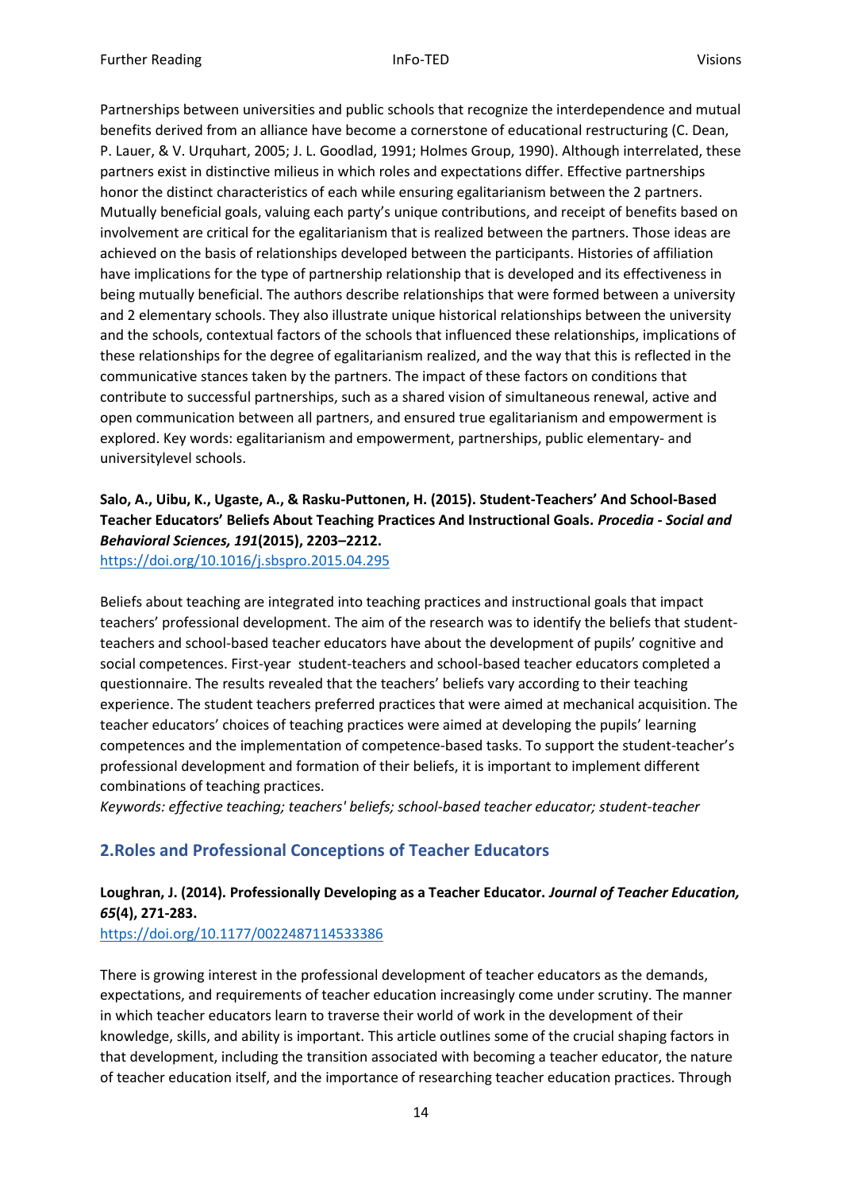Partnerships between universities and public schools that recognize the interdependence and mutual benefits derived from an alliance have become a cornerstone of educational restructuring (C. Dean, P. Lauer, & V. Urquhart, 2005; J. L. Goodlad, 1991; Holmes Group, 1990). Although interrelated, these partners exist in distinctive milieus in which roles and expectations differ. Effective partnerships honor the distinct characteristics of each while ensuring egalitarianism between the 2 partners. Mutually beneficial goals, valuing each party's unique contributions, and receipt of benefits based on involvement are critical for the egalitarianism that is realized between the partners. Those ideas are achieved on the basis of relationships developed between the participants. Histories of affiliation have implications for the type of partnership relationship that is developed and its effectiveness in being mutually beneficial. The authors describe relationships that were formed between a university and 2 elementary schools. They also illustrate unique historical relationships between the university and the schools, contextual factors of the schools that influenced these relationships, implications of these relationships for the degree of egalitarianism realized, and the way that this is reflected in the communicative stances taken by the partners. The impact of these factors on conditions that contribute to successful partnerships, such as a shared vision of simultaneous renewal, active and open communication between all partners, and ensured true egalitarianism and empowerment is explored. Key words: egalitarianism and empowerment, partnerships, public elementary- and universitylevel schools.

### **Salo, A., Uibu, K., Ugaste, A., & Rasku-Puttonen, H. (2015). Student-Teachers' And School-Based Teacher Educators' Beliefs About Teaching Practices And Instructional Goals.** *Procedia - Social and Behavioral Sciences, 191***(2015), 2203–2212.**

<https://doi.org/10.1016/j.sbspro.2015.04.295>

Beliefs about teaching are integrated into teaching practices and instructional goals that impact teachers' professional development. The aim of the research was to identify the beliefs that studentteachers and school-based teacher educators have about the development of pupils' cognitive and social competences. First-year student-teachers and school-based teacher educators completed a questionnaire. The results revealed that the teachers' beliefs vary according to their teaching experience. The student teachers preferred practices that were aimed at mechanical acquisition. The teacher educators' choices of teaching practices were aimed at developing the pupils' learning competences and the implementation of competence-based tasks. To support the student-teacher's professional development and formation of their beliefs, it is important to implement different combinations of teaching practices.

*Keywords: effective teaching; teachers' beliefs; school-based teacher educator; student-teacher*

### <span id="page-13-0"></span>**2.Roles and Professional Conceptions of Teacher Educators**

### **Loughran, J. (2014). Professionally Developing as a Teacher Educator.** *Journal of Teacher Education, 65***(4), 271-283.**

<https://doi.org/10.1177/0022487114533386>

There is growing interest in the professional development of teacher educators as the demands, expectations, and requirements of teacher education increasingly come under scrutiny. The manner in which teacher educators learn to traverse their world of work in the development of their knowledge, skills, and ability is important. This article outlines some of the crucial shaping factors in that development, including the transition associated with becoming a teacher educator, the nature of teacher education itself, and the importance of researching teacher education practices. Through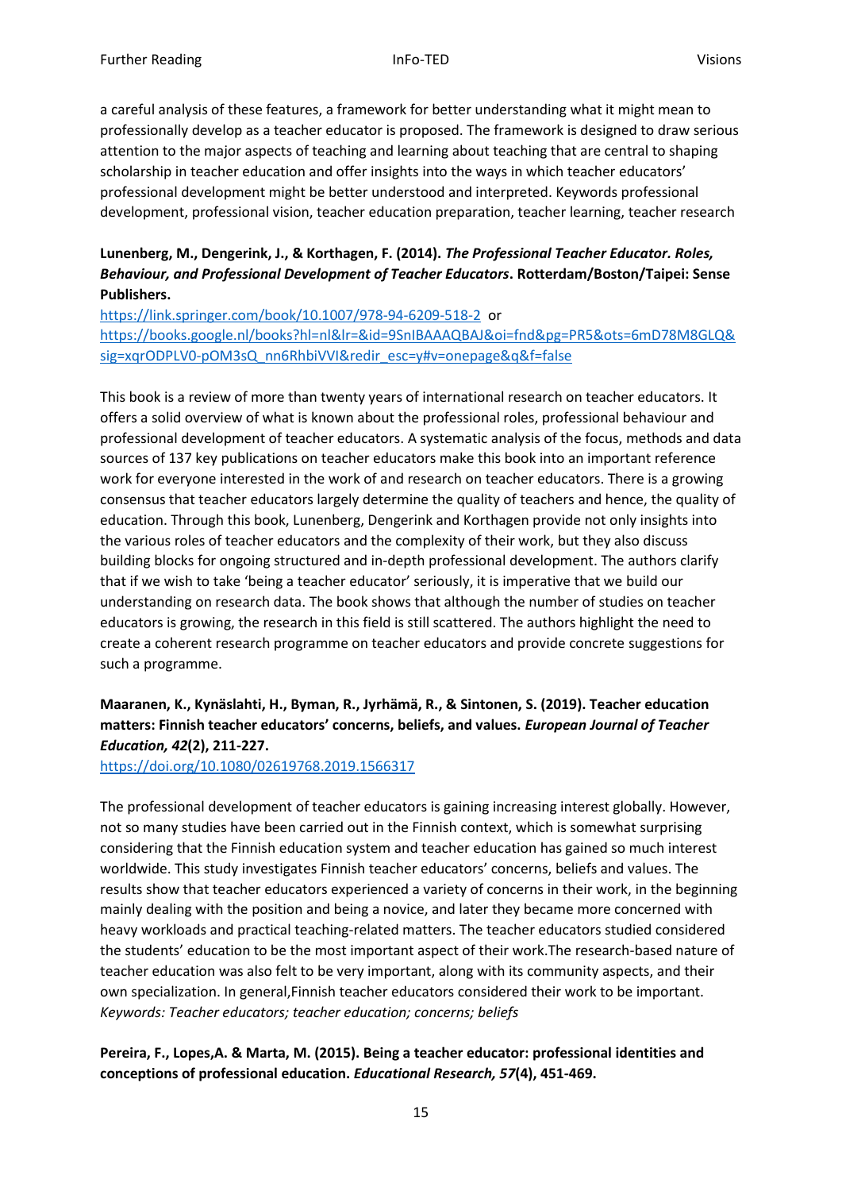a careful analysis of these features, a framework for better understanding what it might mean to professionally develop as a teacher educator is proposed. The framework is designed to draw serious attention to the major aspects of teaching and learning about teaching that are central to shaping scholarship in teacher education and offer insights into the ways in which teacher educators' professional development might be better understood and interpreted. Keywords professional development, professional vision, teacher education preparation, teacher learning, teacher research

#### **Lunenberg, M., Dengerink, J., & Korthagen, F. (2014).** *The Professional Teacher Educator. Roles, Behaviour, and Professional Development of Teacher Educators***. Rotterdam/Boston/Taipei: Sense Publishers.**

<https://link.springer.com/book/10.1007/978-94-6209-518-2>or [https://books.google.nl/books?hl=nl&lr=&id=9SnIBAAAQBAJ&oi=fnd&pg=PR5&ots=6mD78M8GLQ&](https://books.google.nl/books?hl=nl&lr=&id=9SnIBAAAQBAJ&oi=fnd&pg=PR5&ots=6mD78M8GLQ&sig=xqrODPLV0-pOM3sQ_nn6RhbiVVI&redir_esc=y#v=onepage&q&f=false) [sig=xqrODPLV0-pOM3sQ\\_nn6RhbiVVI&redir\\_esc=y#v=onepage&q&f=false](https://books.google.nl/books?hl=nl&lr=&id=9SnIBAAAQBAJ&oi=fnd&pg=PR5&ots=6mD78M8GLQ&sig=xqrODPLV0-pOM3sQ_nn6RhbiVVI&redir_esc=y#v=onepage&q&f=false)

This book is a review of more than twenty years of international research on teacher educators. It offers a solid overview of what is known about the professional roles, professional behaviour and professional development of teacher educators. A systematic analysis of the focus, methods and data sources of 137 key publications on teacher educators make this book into an important reference work for everyone interested in the work of and research on teacher educators. There is a growing consensus that teacher educators largely determine the quality of teachers and hence, the quality of education. Through this book, Lunenberg, Dengerink and Korthagen provide not only insights into the various roles of teacher educators and the complexity of their work, but they also discuss building blocks for ongoing structured and in-depth professional development. The authors clarify that if we wish to take 'being a teacher educator' seriously, it is imperative that we build our understanding on research data. The book shows that although the number of studies on teacher educators is growing, the research in this field is still scattered. The authors highlight the need to create a coherent research programme on teacher educators and provide concrete suggestions for such a programme.

### **Maaranen, K., Kynäslahti, H., Byman, R., Jyrhämä, R., & Sintonen, S. (2019). Teacher education matters: Finnish teacher educators' concerns, beliefs, and values.** *European Journal of Teacher Education, 42***(2), 211-227.**

<https://doi.org/10.1080/02619768.2019.1566317>

The professional development of teacher educators is gaining increasing interest globally. However, not so many studies have been carried out in the Finnish context, which is somewhat surprising considering that the Finnish education system and teacher education has gained so much interest worldwide. This study investigates Finnish teacher educators' concerns, beliefs and values. The results show that teacher educators experienced a variety of concerns in their work, in the beginning mainly dealing with the position and being a novice, and later they became more concerned with heavy workloads and practical teaching-related matters. The teacher educators studied considered the students' education to be the most important aspect of their work.The research-based nature of teacher education was also felt to be very important, along with its community aspects, and their own specialization. In general,Finnish teacher educators considered their work to be important. *Keywords: Teacher educators; teacher education; concerns; beliefs*

#### **Pereira, F., Lopes,A. & Marta, M. (2015). Being a teacher educator: professional identities and conceptions of professional education.** *Educational Research, 57***(4), 451-469.**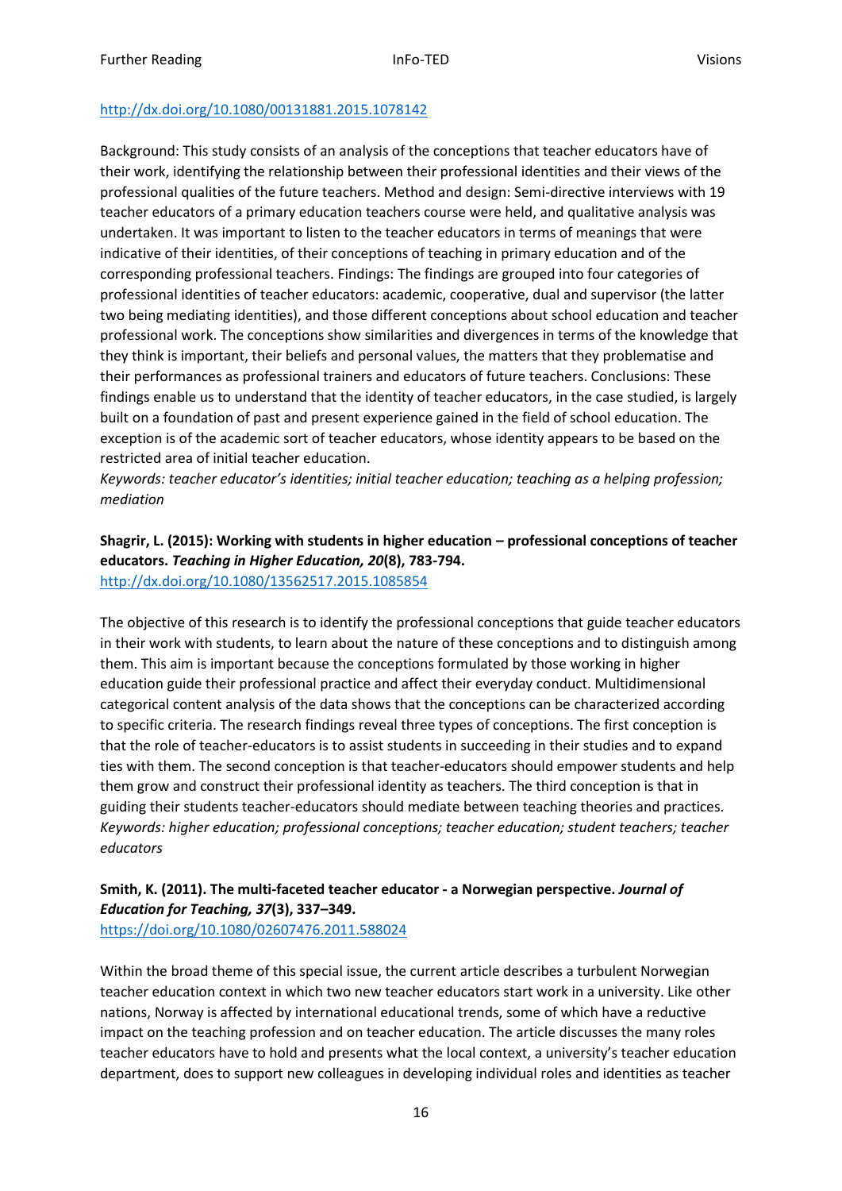#### <http://dx.doi.org/10.1080/00131881.2015.1078142>

Background: This study consists of an analysis of the conceptions that teacher educators have of their work, identifying the relationship between their professional identities and their views of the professional qualities of the future teachers. Method and design: Semi-directive interviews with 19 teacher educators of a primary education teachers course were held, and qualitative analysis was undertaken. It was important to listen to the teacher educators in terms of meanings that were indicative of their identities, of their conceptions of teaching in primary education and of the corresponding professional teachers. Findings: The findings are grouped into four categories of professional identities of teacher educators: academic, cooperative, dual and supervisor (the latter two being mediating identities), and those different conceptions about school education and teacher professional work. The conceptions show similarities and divergences in terms of the knowledge that they think is important, their beliefs and personal values, the matters that they problematise and their performances as professional trainers and educators of future teachers. Conclusions: These findings enable us to understand that the identity of teacher educators, in the case studied, is largely built on a foundation of past and present experience gained in the field of school education. The exception is of the academic sort of teacher educators, whose identity appears to be based on the restricted area of initial teacher education.

*Keywords: teacher educator's identities; initial teacher education; teaching as a helping profession; mediation* 

**Shagrir, L. (2015): Working with students in higher education – professional conceptions of teacher educators.** *Teaching in Higher Education, 20***(8), 783-794.**  <http://dx.doi.org/10.1080/13562517.2015.1085854>

The objective of this research is to identify the professional conceptions that guide teacher educators in their work with students, to learn about the nature of these conceptions and to distinguish among them. This aim is important because the conceptions formulated by those working in higher education guide their professional practice and affect their everyday conduct. Multidimensional categorical content analysis of the data shows that the conceptions can be characterized according to specific criteria. The research findings reveal three types of conceptions. The first conception is that the role of teacher-educators is to assist students in succeeding in their studies and to expand ties with them. The second conception is that teacher-educators should empower students and help them grow and construct their professional identity as teachers. The third conception is that in guiding their students teacher-educators should mediate between teaching theories and practices. *Keywords: higher education; professional conceptions; teacher education; student teachers; teacher educators*

### **Smith, K. (2011). The multi-faceted teacher educator - a Norwegian perspective.** *Journal of Education for Teaching, 37***(3), 337–349.**

<https://doi.org/10.1080/02607476.2011.588024>

Within the broad theme of this special issue, the current article describes a turbulent Norwegian teacher education context in which two new teacher educators start work in a university. Like other nations, Norway is affected by international educational trends, some of which have a reductive impact on the teaching profession and on teacher education. The article discusses the many roles teacher educators have to hold and presents what the local context, a university's teacher education department, does to support new colleagues in developing individual roles and identities as teacher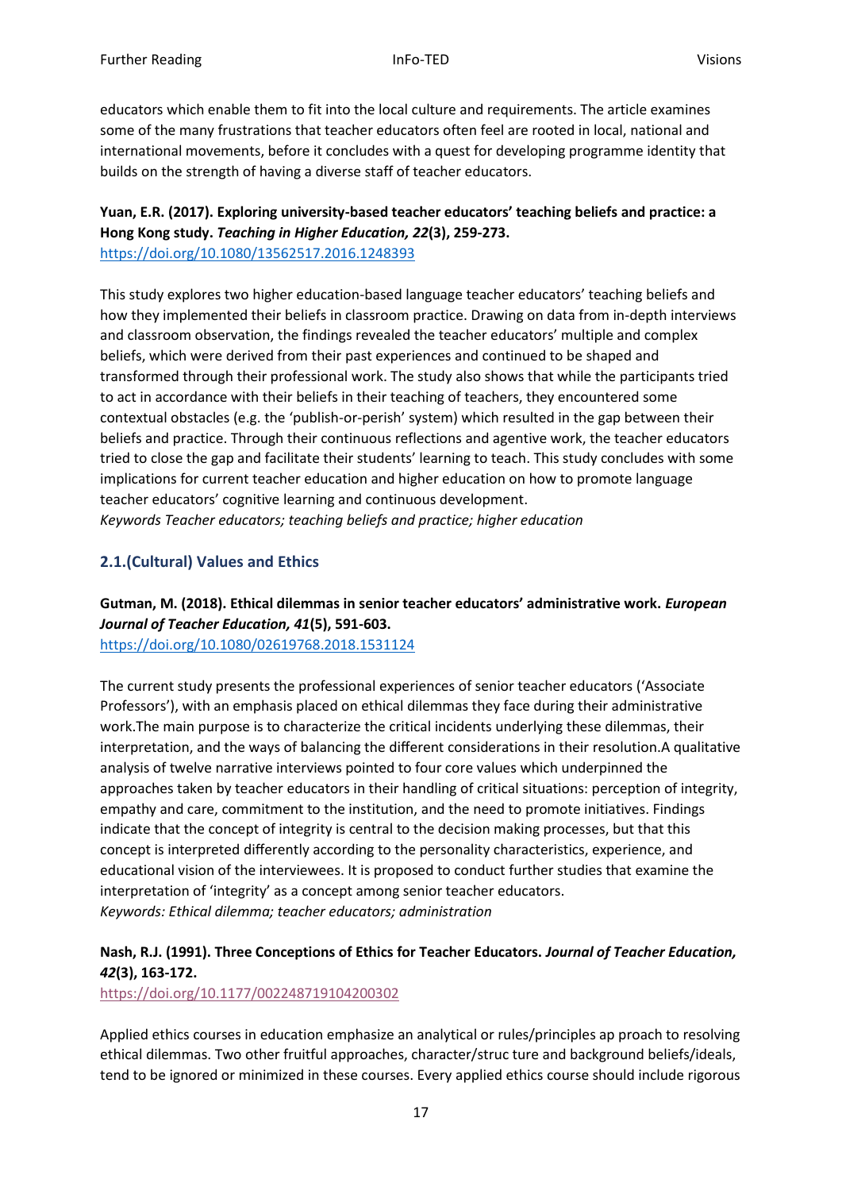educators which enable them to fit into the local culture and requirements. The article examines some of the many frustrations that teacher educators often feel are rooted in local, national and international movements, before it concludes with a quest for developing programme identity that builds on the strength of having a diverse staff of teacher educators.

## **Yuan, E.R. (2017). Exploring university-based teacher educators' teaching beliefs and practice: a Hong Kong study.** *Teaching in Higher Education, 22***(3), 259-273.**

<https://doi.org/10.1080/13562517.2016.1248393>

This study explores two higher education-based language teacher educators' teaching beliefs and how they implemented their beliefs in classroom practice. Drawing on data from in-depth interviews and classroom observation, the findings revealed the teacher educators' multiple and complex beliefs, which were derived from their past experiences and continued to be shaped and transformed through their professional work. The study also shows that while the participants tried to act in accordance with their beliefs in their teaching of teachers, they encountered some contextual obstacles (e.g. the 'publish-or-perish' system) which resulted in the gap between their beliefs and practice. Through their continuous reflections and agentive work, the teacher educators tried to close the gap and facilitate their students' learning to teach. This study concludes with some implications for current teacher education and higher education on how to promote language teacher educators' cognitive learning and continuous development. *Keywords Teacher educators; teaching beliefs and practice; higher education*

### <span id="page-16-0"></span>**2.1.(Cultural) Values and Ethics**

**Gutman, M. (2018). Ethical dilemmas in senior teacher educators' administrative work.** *European Journal of Teacher Education, 41***(5), 591-603.**  <https://doi.org/10.1080/02619768.2018.1531124>

The current study presents the professional experiences of senior teacher educators ('Associate Professors'), with an emphasis placed on ethical dilemmas they face during their administrative work.The main purpose is to characterize the critical incidents underlying these dilemmas, their interpretation, and the ways of balancing the different considerations in their resolution.A qualitative analysis of twelve narrative interviews pointed to four core values which underpinned the approaches taken by teacher educators in their handling of critical situations: perception of integrity, empathy and care, commitment to the institution, and the need to promote initiatives. Findings indicate that the concept of integrity is central to the decision making processes, but that this concept is interpreted differently according to the personality characteristics, experience, and educational vision of the interviewees. It is proposed to conduct further studies that examine the interpretation of 'integrity' as a concept among senior teacher educators. *Keywords: Ethical dilemma; teacher educators; administration*

### **Nash, R.J. (1991). Three Conceptions of Ethics for Teacher Educators.** *Journal of Teacher Education, 42***(3), 163-172.**

<https://doi.org/10.1177/002248719104200302>

Applied ethics courses in education emphasize an analytical or rules/principles ap proach to resolving ethical dilemmas. Two other fruitful approaches, character/struc ture and background beliefs/ideals, tend to be ignored or minimized in these courses. Every applied ethics course should include rigorous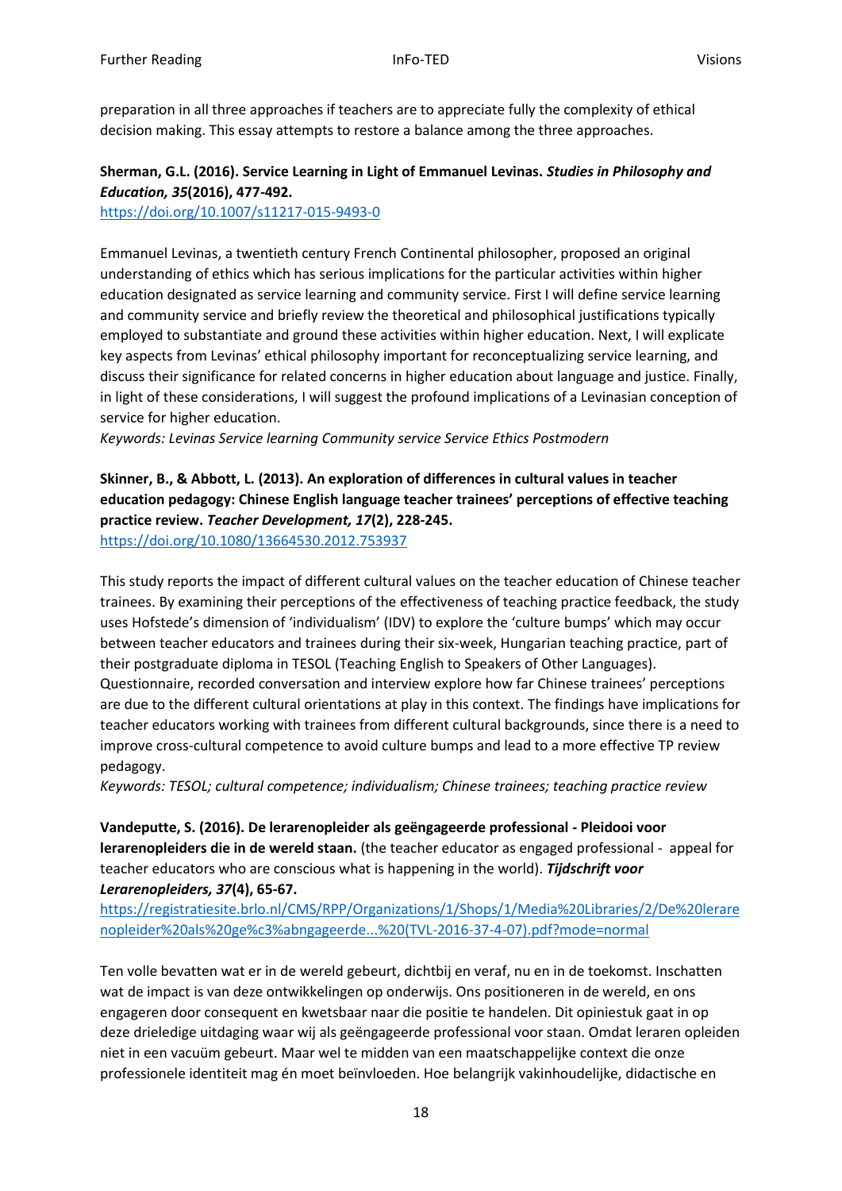preparation in all three approaches if teachers are to appreciate fully the complexity of ethical decision making. This essay attempts to restore a balance among the three approaches.

### **Sherman, G.L. (2016). Service Learning in Light of Emmanuel Levinas.** *Studies in Philosophy and Education, 35***(2016), 477-492.**

<https://doi.org/10.1007/s11217-015-9493-0>

Emmanuel Levinas, a twentieth century French Continental philosopher, proposed an original understanding of ethics which has serious implications for the particular activities within higher education designated as service learning and community service. First I will define service learning and community service and briefly review the theoretical and philosophical justifications typically employed to substantiate and ground these activities within higher education. Next, I will explicate key aspects from Levinas' ethical philosophy important for reconceptualizing service learning, and discuss their significance for related concerns in higher education about language and justice. Finally, in light of these considerations, I will suggest the profound implications of a Levinasian conception of service for higher education.

*Keywords: Levinas Service learning Community service Service Ethics Postmodern* 

**Skinner, B., & Abbott, L. (2013). An exploration of differences in cultural values in teacher education pedagogy: Chinese English language teacher trainees' perceptions of effective teaching practice review.** *Teacher Development, 17***(2), 228-245.**  <https://doi.org/10.1080/13664530.2012.753937>

This study reports the impact of different cultural values on the teacher education of Chinese teacher trainees. By examining their perceptions of the effectiveness of teaching practice feedback, the study uses Hofstede's dimension of 'individualism' (IDV) to explore the 'culture bumps' which may occur between teacher educators and trainees during their six-week, Hungarian teaching practice, part of their postgraduate diploma in TESOL (Teaching English to Speakers of Other Languages). Questionnaire, recorded conversation and interview explore how far Chinese trainees' perceptions are due to the different cultural orientations at play in this context. The findings have implications for teacher educators working with trainees from different cultural backgrounds, since there is a need to improve cross-cultural competence to avoid culture bumps and lead to a more effective TP review pedagogy.

*Keywords: TESOL; cultural competence; individualism; Chinese trainees; teaching practice review*

**Vandeputte, S. (2016). De lerarenopleider als geëngageerde professional - Pleidooi voor lerarenopleiders die in de wereld staan.** (the teacher educator as engaged professional - appeal for teacher educators who are conscious what is happening in the world). *Tijdschrift voor Lerarenopleiders, 37***(4), 65-67.** 

[https://registratiesite.brlo.nl/CMS/RPP/Organizations/1/Shops/1/Media%20Libraries/2/De%20lerare](https://registratiesite.brlo.nl/CMS/RPP/Organizations/1/Shops/1/Media%20Libraries/2/De%20lerarenopleider%20als%20ge%c3%abngageerde...%20(TVL-2016-37-4-07).pdf?mode=normal) [nopleider%20als%20ge%c3%abngageerde...%20\(TVL-2016-37-4-07\).pdf?mode=normal](https://registratiesite.brlo.nl/CMS/RPP/Organizations/1/Shops/1/Media%20Libraries/2/De%20lerarenopleider%20als%20ge%c3%abngageerde...%20(TVL-2016-37-4-07).pdf?mode=normal)

Ten volle bevatten wat er in de wereld gebeurt, dichtbij en veraf, nu en in de toekomst. Inschatten wat de impact is van deze ontwikkelingen op onderwijs. Ons positioneren in de wereld, en ons engageren door consequent en kwetsbaar naar die positie te handelen. Dit opiniestuk gaat in op deze drieledige uitdaging waar wij als geëngageerde professional voor staan. Omdat leraren opleiden niet in een vacuüm gebeurt. Maar wel te midden van een maatschappelijke context die onze professionele identiteit mag én moet beïnvloeden. Hoe belangrijk vakinhoudelijke, didactische en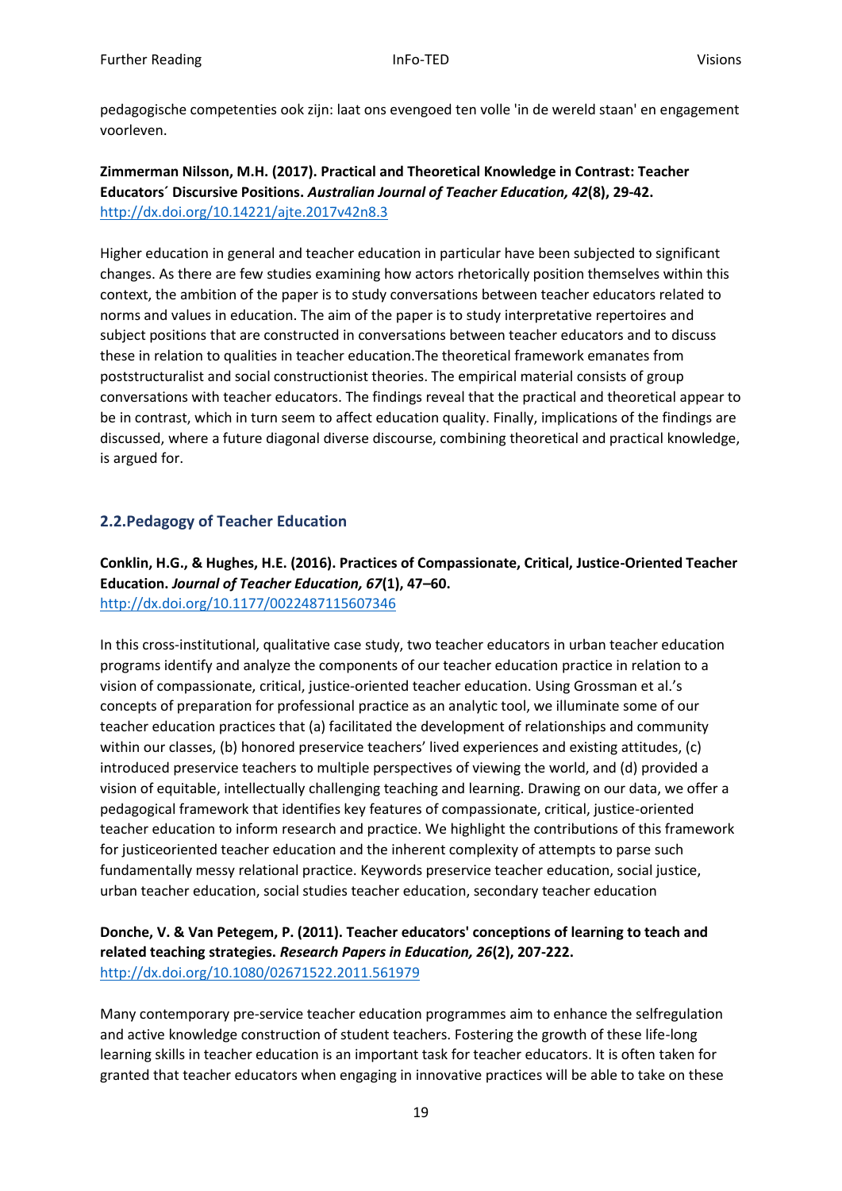pedagogische competenties ook zijn: laat ons evengoed ten volle 'in de wereld staan' en engagement voorleven.

### **Zimmerman Nilsson, M.H. (2017). Practical and Theoretical Knowledge in Contrast: Teacher Educators´ Discursive Positions.** *Australian Journal of Teacher Education, 42***(8), 29-42.**  <http://dx.doi.org/10.14221/ajte.2017v42n8.3>

Higher education in general and teacher education in particular have been subjected to significant changes. As there are few studies examining how actors rhetorically position themselves within this context, the ambition of the paper is to study conversations between teacher educators related to norms and values in education. The aim of the paper is to study interpretative repertoires and subject positions that are constructed in conversations between teacher educators and to discuss these in relation to qualities in teacher education.The theoretical framework emanates from poststructuralist and social constructionist theories. The empirical material consists of group conversations with teacher educators. The findings reveal that the practical and theoretical appear to be in contrast, which in turn seem to affect education quality. Finally, implications of the findings are discussed, where a future diagonal diverse discourse, combining theoretical and practical knowledge, is argued for.

### <span id="page-18-0"></span>**2.2.Pedagogy of Teacher Education**

### **Conklin, H.G., & Hughes, H.E. (2016). Practices of Compassionate, Critical, Justice-Oriented Teacher Education.** *Journal of Teacher Education, 67***(1), 47–60.**  <http://dx.doi.org/10.1177/0022487115607346>

In this cross-institutional, qualitative case study, two teacher educators in urban teacher education programs identify and analyze the components of our teacher education practice in relation to a vision of compassionate, critical, justice-oriented teacher education. Using Grossman et al.'s concepts of preparation for professional practice as an analytic tool, we illuminate some of our teacher education practices that (a) facilitated the development of relationships and community within our classes, (b) honored preservice teachers' lived experiences and existing attitudes, (c) introduced preservice teachers to multiple perspectives of viewing the world, and (d) provided a vision of equitable, intellectually challenging teaching and learning. Drawing on our data, we offer a pedagogical framework that identifies key features of compassionate, critical, justice-oriented teacher education to inform research and practice. We highlight the contributions of this framework for justiceoriented teacher education and the inherent complexity of attempts to parse such fundamentally messy relational practice. Keywords preservice teacher education, social justice, urban teacher education, social studies teacher education, secondary teacher education

### **Donche, V. & Van Petegem, P. (2011). Teacher educators' conceptions of learning to teach and related teaching strategies.** *Research Papers in Education, 26***(2), 207-222.**  <http://dx.doi.org/10.1080/02671522.2011.561979>

Many contemporary pre-service teacher education programmes aim to enhance the selfregulation and active knowledge construction of student teachers. Fostering the growth of these life-long learning skills in teacher education is an important task for teacher educators. It is often taken for granted that teacher educators when engaging in innovative practices will be able to take on these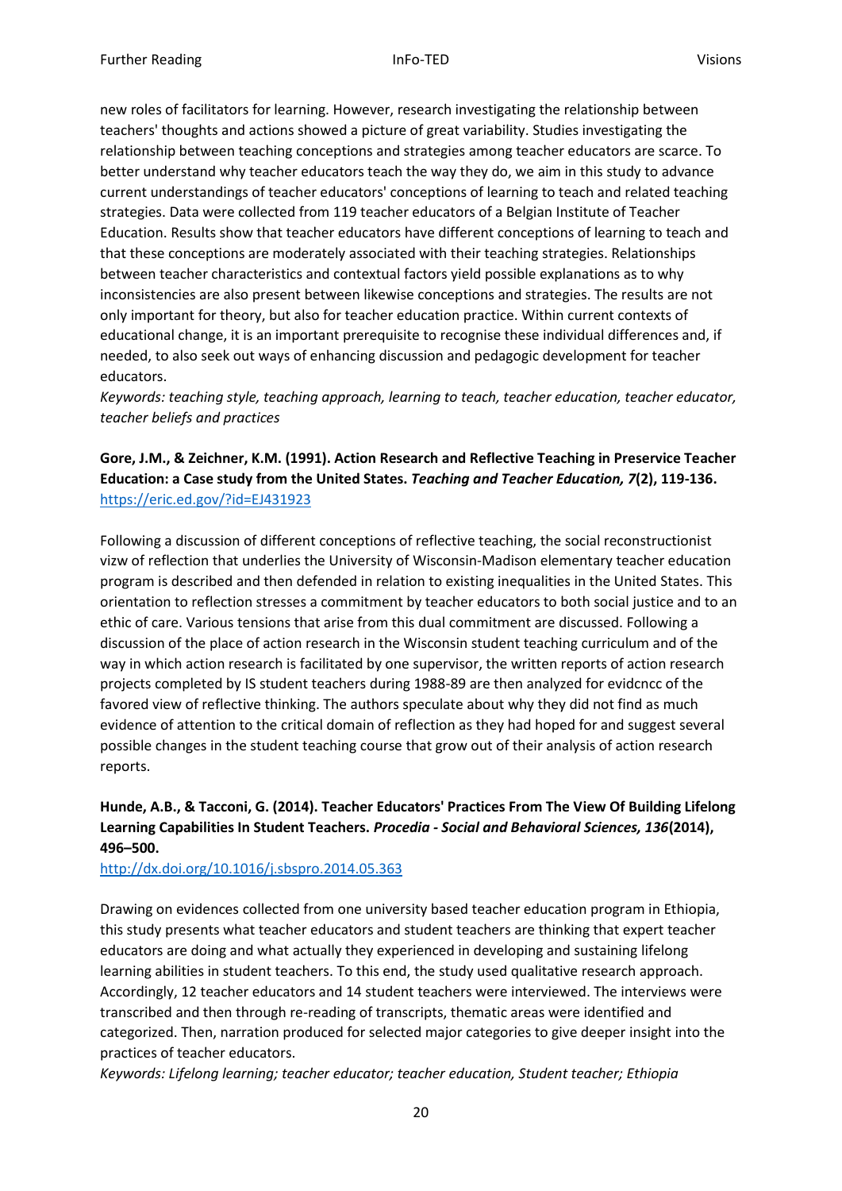new roles of facilitators for learning. However, research investigating the relationship between teachers' thoughts and actions showed a picture of great variability. Studies investigating the relationship between teaching conceptions and strategies among teacher educators are scarce. To better understand why teacher educators teach the way they do, we aim in this study to advance current understandings of teacher educators' conceptions of learning to teach and related teaching strategies. Data were collected from 119 teacher educators of a Belgian Institute of Teacher Education. Results show that teacher educators have different conceptions of learning to teach and that these conceptions are moderately associated with their teaching strategies. Relationships between teacher characteristics and contextual factors yield possible explanations as to why inconsistencies are also present between likewise conceptions and strategies. The results are not only important for theory, but also for teacher education practice. Within current contexts of educational change, it is an important prerequisite to recognise these individual differences and, if needed, to also seek out ways of enhancing discussion and pedagogic development for teacher educators.

*Keywords: teaching style, teaching approach, learning to teach, teacher education, teacher educator, teacher beliefs and practices* 

#### **Gore, J.M., & Zeichner, K.M. (1991). Action Research and Reflective Teaching in Preservice Teacher Education: a Case study from the United States.** *Teaching and Teacher Education, 7***(2), 119-136.**  <https://eric.ed.gov/?id=EJ431923>

Following a discussion of different conceptions of reflective teaching, the social reconstructionist vizw of reflection that underlies the University of Wisconsin-Madison elementary teacher education program is described and then defended in relation to existing inequalities in the United States. This orientation to reflection stresses a commitment by teacher educators to both social justice and to an ethic of care. Various tensions that arise from this dual commitment are discussed. Following a discussion of the place of action research in the Wisconsin student teaching curriculum and of the way in which action research is facilitated by one supervisor, the written reports of action research projects completed by IS student teachers during 1988-89 are then analyzed for evidcncc of the favored view of reflective thinking. The authors speculate about why they did not find as much evidence of attention to the critical domain of reflection as they had hoped for and suggest several possible changes in the student teaching course that grow out of their analysis of action research reports.

### **Hunde, A.B., & Tacconi, G. (2014). Teacher Educators' Practices From The View Of Building Lifelong Learning Capabilities In Student Teachers.** *Procedia - Social and Behavioral Sciences, 136***(2014), 496–500.**

#### <http://dx.doi.org/10.1016/j.sbspro.2014.05.363>

Drawing on evidences collected from one university based teacher education program in Ethiopia, this study presents what teacher educators and student teachers are thinking that expert teacher educators are doing and what actually they experienced in developing and sustaining lifelong learning abilities in student teachers. To this end, the study used qualitative research approach. Accordingly, 12 teacher educators and 14 student teachers were interviewed. The interviews were transcribed and then through re-reading of transcripts, thematic areas were identified and categorized. Then, narration produced for selected major categories to give deeper insight into the practices of teacher educators.

*Keywords: Lifelong learning; teacher educator; teacher education, Student teacher; Ethiopia*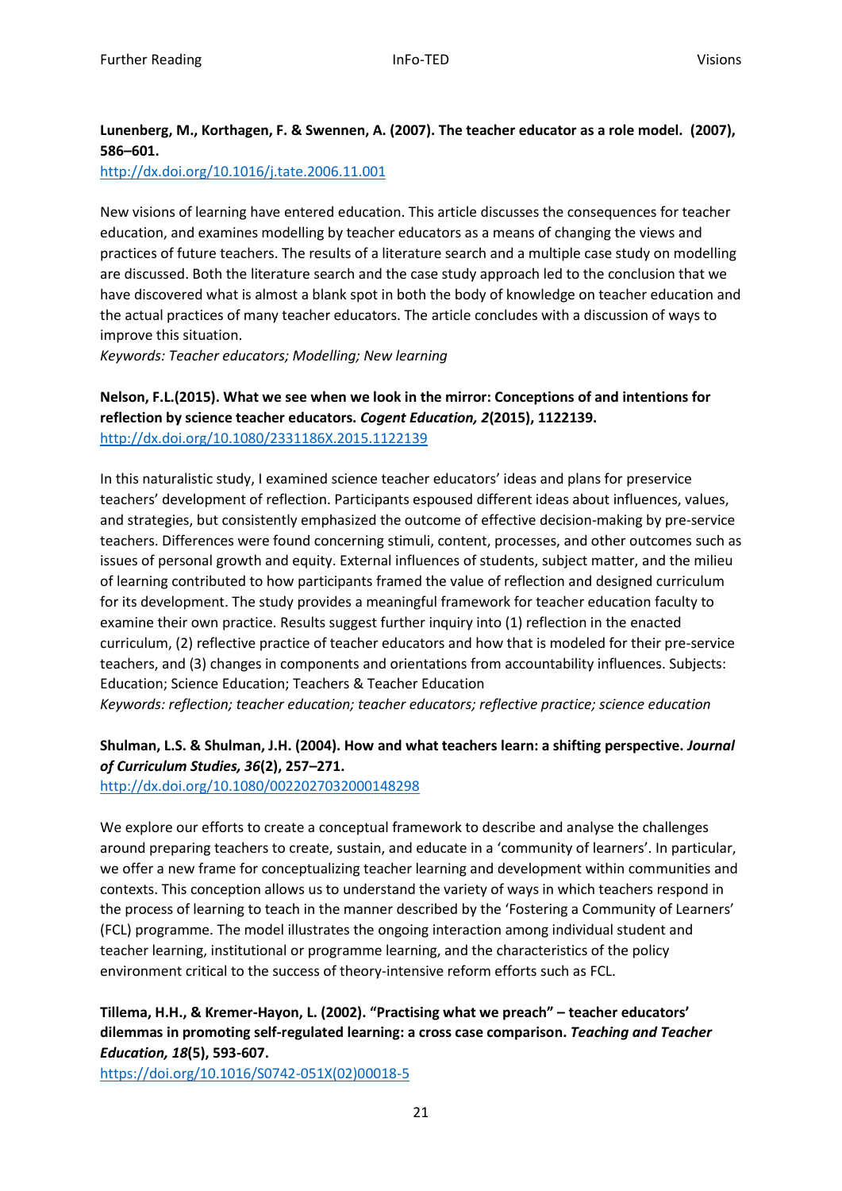### **Lunenberg, M., Korthagen, F. & Swennen, A. (2007). The teacher educator as a role model. (2007), 586–601.**

<http://dx.doi.org/10.1016/j.tate.2006.11.001>

New visions of learning have entered education. This article discusses the consequences for teacher education, and examines modelling by teacher educators as a means of changing the views and practices of future teachers. The results of a literature search and a multiple case study on modelling are discussed. Both the literature search and the case study approach led to the conclusion that we have discovered what is almost a blank spot in both the body of knowledge on teacher education and the actual practices of many teacher educators. The article concludes with a discussion of ways to improve this situation.

*Keywords: Teacher educators; Modelling; New learning* 

### **Nelson, F.L.(2015). What we see when we look in the mirror: Conceptions of and intentions for reflection by science teacher educators.** *Cogent Education, 2***(2015), 1122139.**  <http://dx.doi.org/10.1080/2331186X.2015.1122139>

In this naturalistic study, I examined science teacher educators' ideas and plans for preservice teachers' development of reflection. Participants espoused different ideas about influences, values, and strategies, but consistently emphasized the outcome of effective decision-making by pre-service teachers. Differences were found concerning stimuli, content, processes, and other outcomes such as issues of personal growth and equity. External influences of students, subject matter, and the milieu of learning contributed to how participants framed the value of reflection and designed curriculum for its development. The study provides a meaningful framework for teacher education faculty to examine their own practice. Results suggest further inquiry into (1) reflection in the enacted curriculum, (2) reflective practice of teacher educators and how that is modeled for their pre-service teachers, and (3) changes in components and orientations from accountability influences. Subjects: Education; Science Education; Teachers & Teacher Education

*Keywords: reflection; teacher education; teacher educators; reflective practice; science education*

### **Shulman, L.S. & Shulman, J.H. (2004). How and what teachers learn: a shifting perspective.** *Journal of Curriculum Studies, 36***(2), 257–271.**

<http://dx.doi.org/10.1080/0022027032000148298>

We explore our efforts to create a conceptual framework to describe and analyse the challenges around preparing teachers to create, sustain, and educate in a 'community of learners'. In particular, we offer a new frame for conceptualizing teacher learning and development within communities and contexts. This conception allows us to understand the variety of ways in which teachers respond in the process of learning to teach in the manner described by the 'Fostering a Community of Learners' (FCL) programme. The model illustrates the ongoing interaction among individual student and teacher learning, institutional or programme learning, and the characteristics of the policy environment critical to the success of theory-intensive reform efforts such as FCL.

**Tillema, H.H., & Kremer-Hayon, L. (2002). "Practising what we preach" – teacher educators' dilemmas in promoting self-regulated learning: a cross case comparison.** *Teaching and Teacher Education, 18***(5), 593-607.** 

[https://doi.org/10.1016/S0742-051X\(02\)00018-5](https://doi.org/10.1016/S0742-051X(02)00018-5)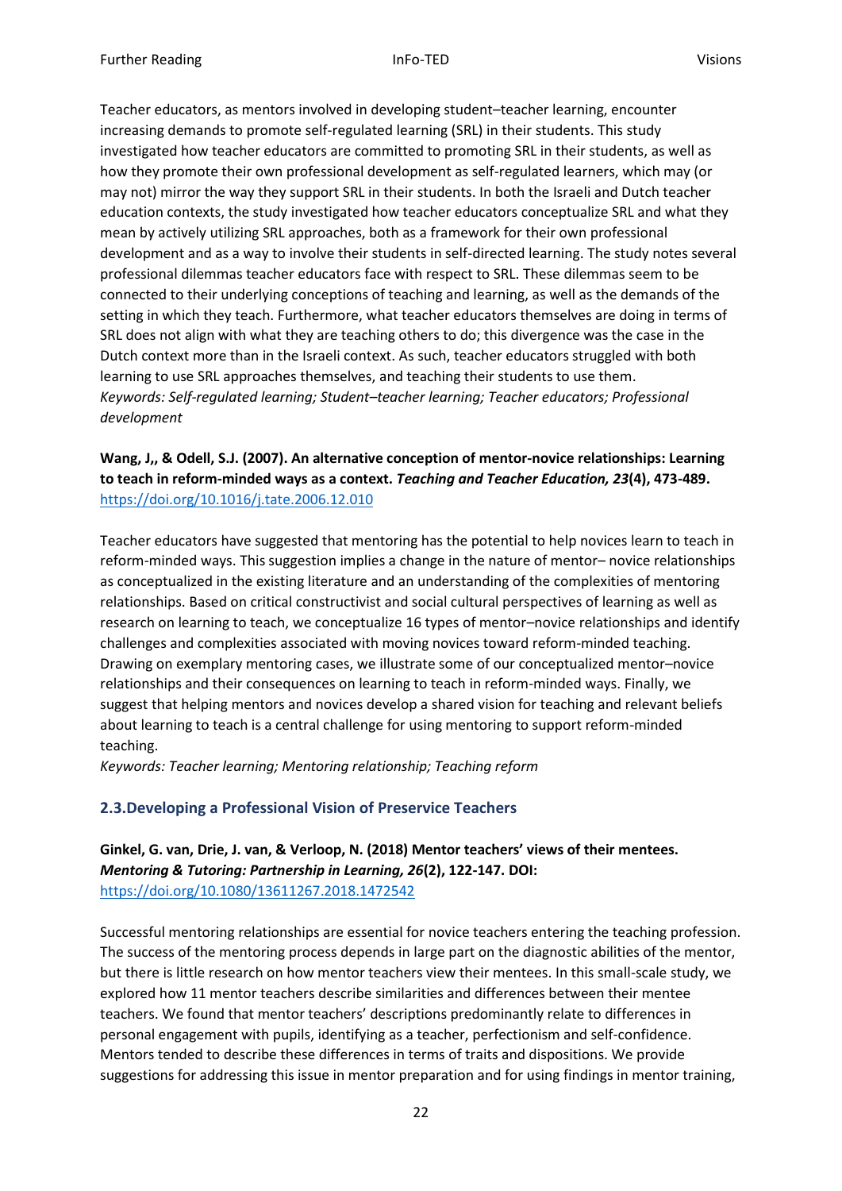Teacher educators, as mentors involved in developing student–teacher learning, encounter increasing demands to promote self-regulated learning (SRL) in their students. This study investigated how teacher educators are committed to promoting SRL in their students, as well as how they promote their own professional development as self-regulated learners, which may (or may not) mirror the way they support SRL in their students. In both the Israeli and Dutch teacher education contexts, the study investigated how teacher educators conceptualize SRL and what they mean by actively utilizing SRL approaches, both as a framework for their own professional development and as a way to involve their students in self-directed learning. The study notes several professional dilemmas teacher educators face with respect to SRL. These dilemmas seem to be connected to their underlying conceptions of teaching and learning, as well as the demands of the setting in which they teach. Furthermore, what teacher educators themselves are doing in terms of SRL does not align with what they are teaching others to do; this divergence was the case in the Dutch context more than in the Israeli context. As such, teacher educators struggled with both learning to use SRL approaches themselves, and teaching their students to use them. *Keywords: Self-regulated learning; Student–teacher learning; Teacher educators; Professional development* 

### **Wang, J,, & Odell, S.J. (2007). An alternative conception of mentor-novice relationships: Learning to teach in reform-minded ways as a context.** *Teaching and Teacher Education, 23***(4), 473-489.**  <https://doi.org/10.1016/j.tate.2006.12.010>

Teacher educators have suggested that mentoring has the potential to help novices learn to teach in reform-minded ways. This suggestion implies a change in the nature of mentor– novice relationships as conceptualized in the existing literature and an understanding of the complexities of mentoring relationships. Based on critical constructivist and social cultural perspectives of learning as well as research on learning to teach, we conceptualize 16 types of mentor–novice relationships and identify challenges and complexities associated with moving novices toward reform-minded teaching. Drawing on exemplary mentoring cases, we illustrate some of our conceptualized mentor–novice relationships and their consequences on learning to teach in reform-minded ways. Finally, we suggest that helping mentors and novices develop a shared vision for teaching and relevant beliefs about learning to teach is a central challenge for using mentoring to support reform-minded teaching.

*Keywords: Teacher learning; Mentoring relationship; Teaching reform* 

#### <span id="page-21-0"></span>**2.3.Developing a Professional Vision of Preservice Teachers**

**Ginkel, G. van, Drie, J. van, & Verloop, N. (2018) Mentor teachers' views of their mentees.**  *Mentoring & Tutoring: Partnership in Learning, 26***(2), 122-147. DOI:**  <https://doi.org/10.1080/13611267.2018.1472542>

Successful mentoring relationships are essential for novice teachers entering the teaching profession. The success of the mentoring process depends in large part on the diagnostic abilities of the mentor, but there is little research on how mentor teachers view their mentees. In this small-scale study, we explored how 11 mentor teachers describe similarities and differences between their mentee teachers. We found that mentor teachers' descriptions predominantly relate to differences in personal engagement with pupils, identifying as a teacher, perfectionism and self-confidence. Mentors tended to describe these differences in terms of traits and dispositions. We provide suggestions for addressing this issue in mentor preparation and for using findings in mentor training,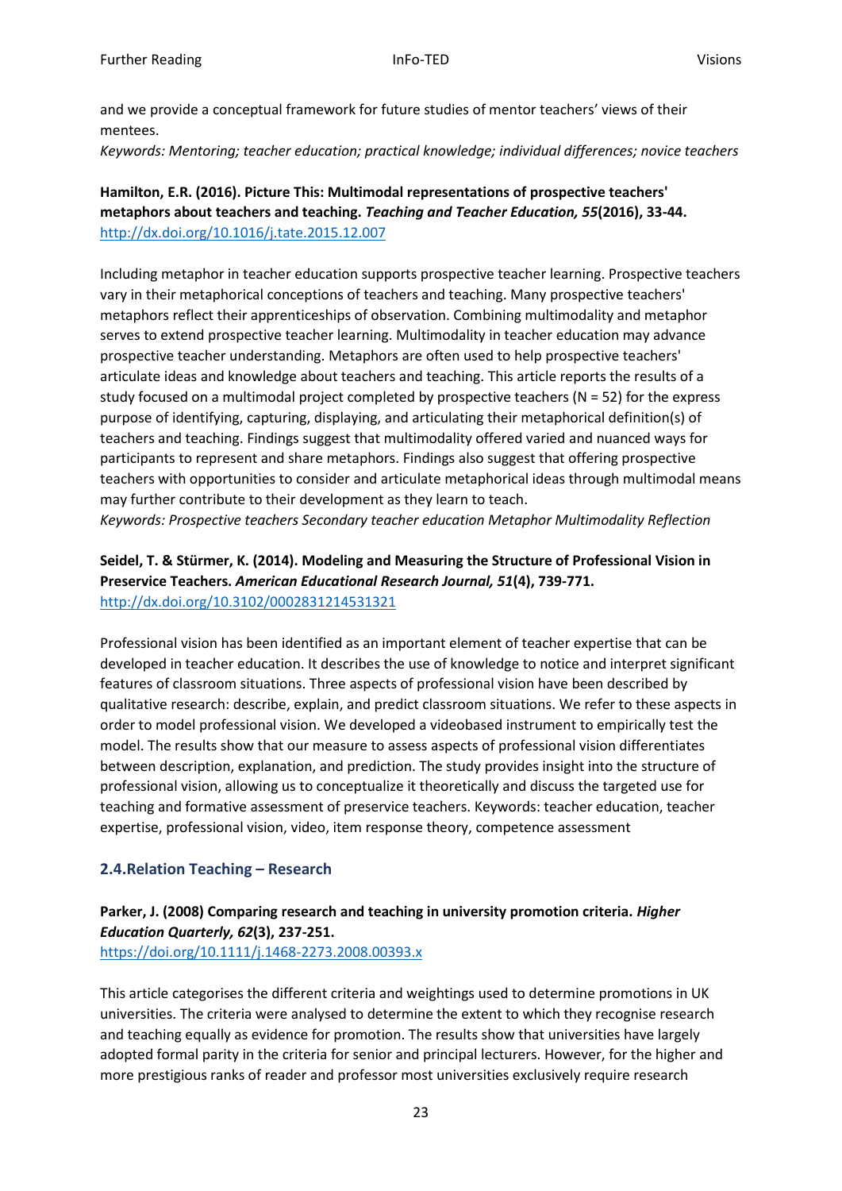and we provide a conceptual framework for future studies of mentor teachers' views of their mentees.

*Keywords: Mentoring; teacher education; practical knowledge; individual differences; novice teachers*

### **Hamilton, E.R. (2016). Picture This: Multimodal representations of prospective teachers' metaphors about teachers and teaching.** *Teaching and Teacher Education, 55***(2016), 33-44.** <http://dx.doi.org/10.1016/j.tate.2015.12.007>

Including metaphor in teacher education supports prospective teacher learning. Prospective teachers vary in their metaphorical conceptions of teachers and teaching. Many prospective teachers' metaphors reflect their apprenticeships of observation. Combining multimodality and metaphor serves to extend prospective teacher learning. Multimodality in teacher education may advance prospective teacher understanding. Metaphors are often used to help prospective teachers' articulate ideas and knowledge about teachers and teaching. This article reports the results of a study focused on a multimodal project completed by prospective teachers (N = 52) for the express purpose of identifying, capturing, displaying, and articulating their metaphorical definition(s) of teachers and teaching. Findings suggest that multimodality offered varied and nuanced ways for participants to represent and share metaphors. Findings also suggest that offering prospective teachers with opportunities to consider and articulate metaphorical ideas through multimodal means may further contribute to their development as they learn to teach.

*Keywords: Prospective teachers Secondary teacher education Metaphor Multimodality Reflection* 

### **Seidel, T. & Stürmer, K. (2014). Modeling and Measuring the Structure of Professional Vision in Preservice Teachers.** *American Educational Research Journal, 51***(4), 739-771.** <http://dx.doi.org/10.3102/0002831214531321>

Professional vision has been identified as an important element of teacher expertise that can be developed in teacher education. It describes the use of knowledge to notice and interpret significant features of classroom situations. Three aspects of professional vision have been described by qualitative research: describe, explain, and predict classroom situations. We refer to these aspects in order to model professional vision. We developed a videobased instrument to empirically test the model. The results show that our measure to assess aspects of professional vision differentiates between description, explanation, and prediction. The study provides insight into the structure of professional vision, allowing us to conceptualize it theoretically and discuss the targeted use for teaching and formative assessment of preservice teachers. Keywords: teacher education, teacher expertise, professional vision, video, item response theory, competence assessment

### <span id="page-22-0"></span>**2.4.Relation Teaching – Research**

### **Parker, J. (2008) Comparing research and teaching in university promotion criteria.** *Higher Education Quarterly, 62***(3), 237-251.**

<https://doi.org/10.1111/j.1468-2273.2008.00393.x>

This article categorises the different criteria and weightings used to determine promotions in UK universities. The criteria were analysed to determine the extent to which they recognise research and teaching equally as evidence for promotion. The results show that universities have largely adopted formal parity in the criteria for senior and principal lecturers. However, for the higher and more prestigious ranks of reader and professor most universities exclusively require research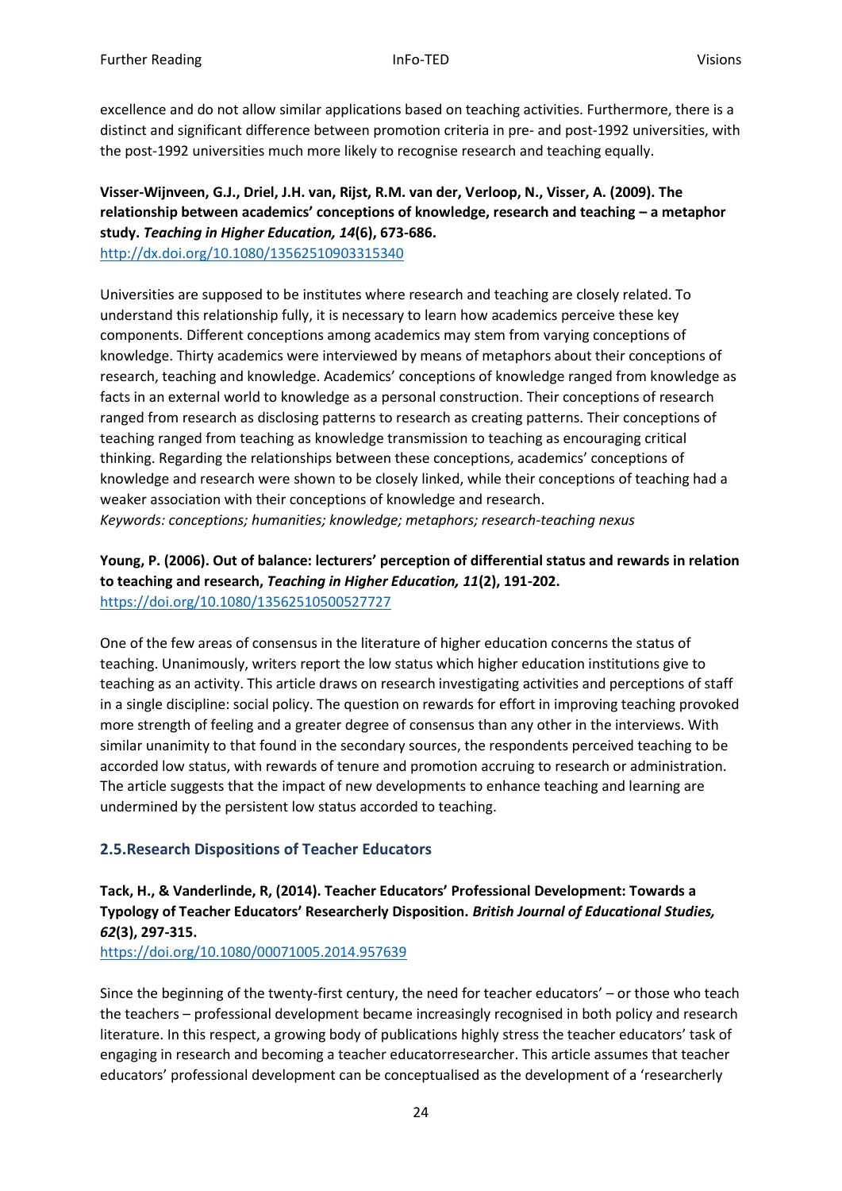excellence and do not allow similar applications based on teaching activities. Furthermore, there is a distinct and significant difference between promotion criteria in pre- and post-1992 universities, with the post-1992 universities much more likely to recognise research and teaching equally.

### **Visser-Wijnveen, G.J., Driel, J.H. van, Rijst, R.M. van der, Verloop, N., Visser, A. (2009). The relationship between academics' conceptions of knowledge, research and teaching – a metaphor study.** *Teaching in Higher Education, 14***(6), 673-686.**

<http://dx.doi.org/10.1080/13562510903315340>

Universities are supposed to be institutes where research and teaching are closely related. To understand this relationship fully, it is necessary to learn how academics perceive these key components. Different conceptions among academics may stem from varying conceptions of knowledge. Thirty academics were interviewed by means of metaphors about their conceptions of research, teaching and knowledge. Academics' conceptions of knowledge ranged from knowledge as facts in an external world to knowledge as a personal construction. Their conceptions of research ranged from research as disclosing patterns to research as creating patterns. Their conceptions of teaching ranged from teaching as knowledge transmission to teaching as encouraging critical thinking. Regarding the relationships between these conceptions, academics' conceptions of knowledge and research were shown to be closely linked, while their conceptions of teaching had a weaker association with their conceptions of knowledge and research. *Keywords: conceptions; humanities; knowledge; metaphors; research-teaching nexus* 

### **Young, P. (2006). Out of balance: lecturers' perception of differential status and rewards in relation to teaching and research,** *Teaching in Higher Education, 11***(2), 191-202.**  <https://doi.org/10.1080/13562510500527727>

One of the few areas of consensus in the literature of higher education concerns the status of teaching. Unanimously, writers report the low status which higher education institutions give to teaching as an activity. This article draws on research investigating activities and perceptions of staff in a single discipline: social policy. The question on rewards for effort in improving teaching provoked more strength of feeling and a greater degree of consensus than any other in the interviews. With similar unanimity to that found in the secondary sources, the respondents perceived teaching to be accorded low status, with rewards of tenure and promotion accruing to research or administration. The article suggests that the impact of new developments to enhance teaching and learning are undermined by the persistent low status accorded to teaching.

### <span id="page-23-0"></span>**2.5.Research Dispositions of Teacher Educators**

### **Tack, H., & Vanderlinde, R, (2014). Teacher Educators' Professional Development: Towards a Typology of Teacher Educators' Researcherly Disposition.** *British Journal of Educational Studies, 62***(3), 297-315.**

<https://doi.org/10.1080/00071005.2014.957639>

Since the beginning of the twenty-first century, the need for teacher educators' – or those who teach the teachers – professional development became increasingly recognised in both policy and research literature. In this respect, a growing body of publications highly stress the teacher educators' task of engaging in research and becoming a teacher educatorresearcher. This article assumes that teacher educators' professional development can be conceptualised as the development of a 'researcherly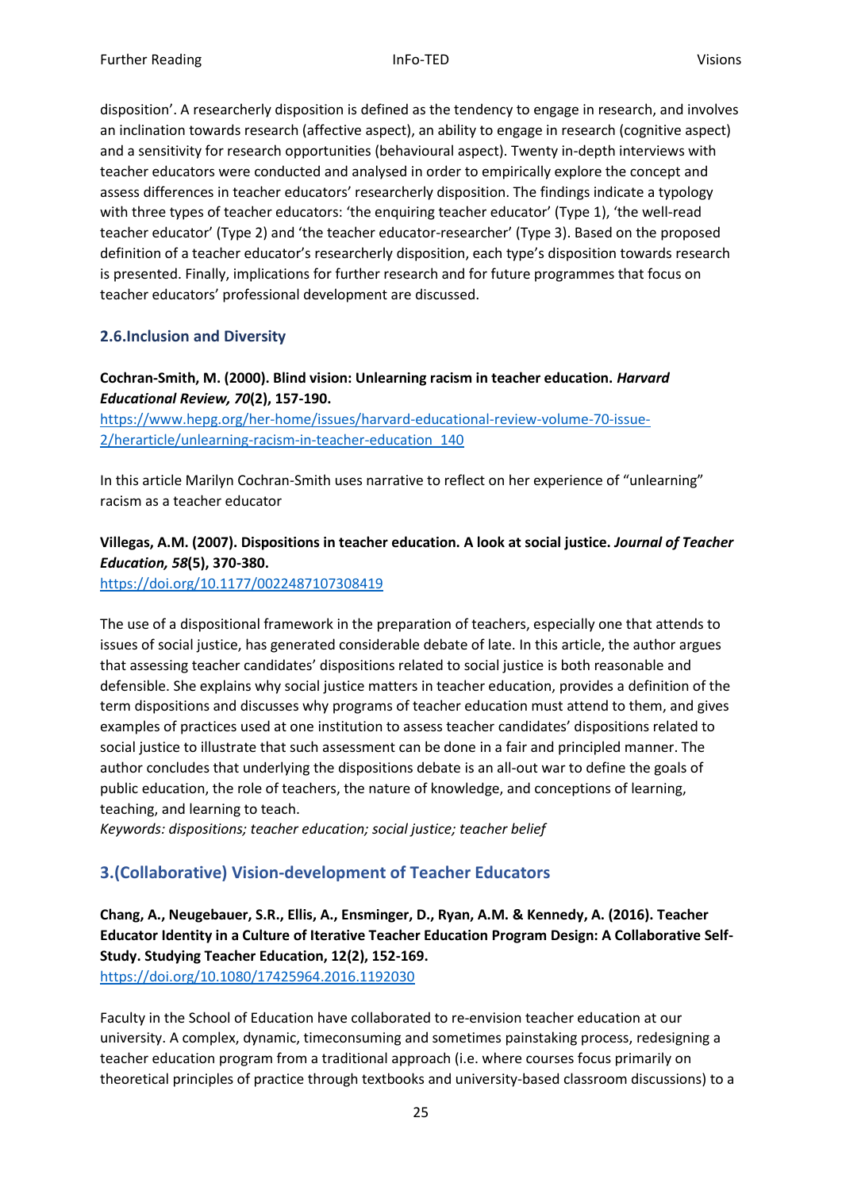disposition'. A researcherly disposition is defined as the tendency to engage in research, and involves an inclination towards research (affective aspect), an ability to engage in research (cognitive aspect) and a sensitivity for research opportunities (behavioural aspect). Twenty in-depth interviews with teacher educators were conducted and analysed in order to empirically explore the concept and assess differences in teacher educators' researcherly disposition. The findings indicate a typology with three types of teacher educators: 'the enquiring teacher educator' (Type 1), 'the well-read teacher educator' (Type 2) and 'the teacher educator-researcher' (Type 3). Based on the proposed definition of a teacher educator's researcherly disposition, each type's disposition towards research is presented. Finally, implications for further research and for future programmes that focus on teacher educators' professional development are discussed.

### <span id="page-24-0"></span>**2.6.Inclusion and Diversity**

#### **Cochran-Smith, M. (2000). Blind vision: Unlearning racism in teacher education.** *Harvard Educational Review, 70***(2), 157-190.**

[https://www.hepg.org/her-home/issues/harvard-educational-review-volume-70-issue-](https://www.hepg.org/her-home/issues/harvard-educational-review-volume-70-issue-2/herarticle/unlearning-racism-in-teacher-education_140)[2/herarticle/unlearning-racism-in-teacher-education\\_140](https://www.hepg.org/her-home/issues/harvard-educational-review-volume-70-issue-2/herarticle/unlearning-racism-in-teacher-education_140)

In this article Marilyn Cochran-Smith uses narrative to reflect on her experience of "unlearning" racism as a teacher educator

### **Villegas, A.M. (2007). Dispositions in teacher education. A look at social justice.** *Journal of Teacher Education, 58***(5), 370-380.**

<https://doi.org/10.1177/0022487107308419>

The use of a dispositional framework in the preparation of teachers, especially one that attends to issues of social justice, has generated considerable debate of late. In this article, the author argues that assessing teacher candidates' dispositions related to social justice is both reasonable and defensible. She explains why social justice matters in teacher education, provides a definition of the term dispositions and discusses why programs of teacher education must attend to them, and gives examples of practices used at one institution to assess teacher candidates' dispositions related to social justice to illustrate that such assessment can be done in a fair and principled manner. The author concludes that underlying the dispositions debate is an all-out war to define the goals of public education, the role of teachers, the nature of knowledge, and conceptions of learning, teaching, and learning to teach.

*Keywords: dispositions; teacher education; social justice; teacher belief* 

### <span id="page-24-1"></span>**3.(Collaborative) Vision-development of Teacher Educators**

**Chang, A., Neugebauer, S.R., Ellis, A., Ensminger, D., Ryan, A.M. & Kennedy, A. (2016). Teacher Educator Identity in a Culture of Iterative Teacher Education Program Design: A Collaborative Self-Study. Studying Teacher Education, 12(2), 152-169.**

<https://doi.org/10.1080/17425964.2016.1192030>

Faculty in the School of Education have collaborated to re-envision teacher education at our university. A complex, dynamic, timeconsuming and sometimes painstaking process, redesigning a teacher education program from a traditional approach (i.e. where courses focus primarily on theoretical principles of practice through textbooks and university-based classroom discussions) to a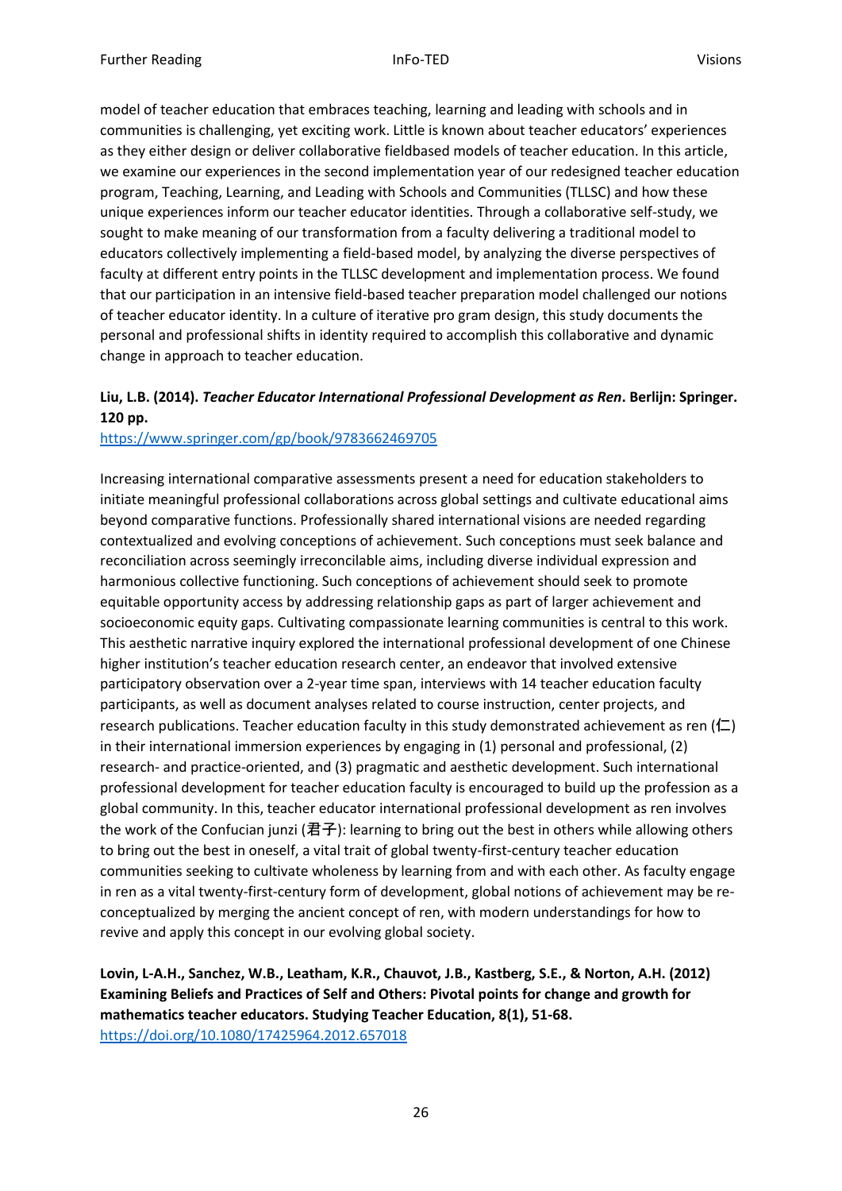model of teacher education that embraces teaching, learning and leading with schools and in communities is challenging, yet exciting work. Little is known about teacher educators' experiences as they either design or deliver collaborative fieldbased models of teacher education. In this article, we examine our experiences in the second implementation year of our redesigned teacher education program, Teaching, Learning, and Leading with Schools and Communities (TLLSC) and how these unique experiences inform our teacher educator identities. Through a collaborative self-study, we sought to make meaning of our transformation from a faculty delivering a traditional model to educators collectively implementing a field-based model, by analyzing the diverse perspectives of faculty at different entry points in the TLLSC development and implementation process. We found that our participation in an intensive field-based teacher preparation model challenged our notions of teacher educator identity. In a culture of iterative pro gram design, this study documents the personal and professional shifts in identity required to accomplish this collaborative and dynamic change in approach to teacher education.

### **Liu, L.B. (2014).** *Teacher Educator International Professional Development as Ren***. Berlijn: Springer. 120 pp.**

#### <https://www.springer.com/gp/book/9783662469705>

Increasing international comparative assessments present a need for education stakeholders to initiate meaningful professional collaborations across global settings and cultivate educational aims beyond comparative functions. Professionally shared international visions are needed regarding contextualized and evolving conceptions of achievement. Such conceptions must seek balance and reconciliation across seemingly irreconcilable aims, including diverse individual expression and harmonious collective functioning. Such conceptions of achievement should seek to promote equitable opportunity access by addressing relationship gaps as part of larger achievement and socioeconomic equity gaps. Cultivating compassionate learning communities is central to this work. This aesthetic narrative inquiry explored the international professional development of one Chinese higher institution's teacher education research center, an endeavor that involved extensive participatory observation over a 2-year time span, interviews with 14 teacher education faculty participants, as well as document analyses related to course instruction, center projects, and research publications. Teacher education faculty in this study demonstrated achievement as ren  $(1)$ in their international immersion experiences by engaging in (1) personal and professional, (2) research- and practice-oriented, and (3) pragmatic and aesthetic development. Such international professional development for teacher education faculty is encouraged to build up the profession as a global community. In this, teacher educator international professional development as ren involves the work of the Confucian junzi (君子): learning to bring out the best in others while allowing others to bring out the best in oneself, a vital trait of global twenty-first-century teacher education communities seeking to cultivate wholeness by learning from and with each other. As faculty engage in ren as a vital twenty-first-century form of development, global notions of achievement may be reconceptualized by merging the ancient concept of ren, with modern understandings for how to revive and apply this concept in our evolving global society.

**Lovin, L-A.H., Sanchez, W.B., Leatham, K.R., Chauvot, J.B., Kastberg, S.E., & Norton, A.H. (2012) Examining Beliefs and Practices of Self and Others: Pivotal points for change and growth for mathematics teacher educators. Studying Teacher Education, 8(1), 51-68.**  <https://doi.org/10.1080/17425964.2012.657018>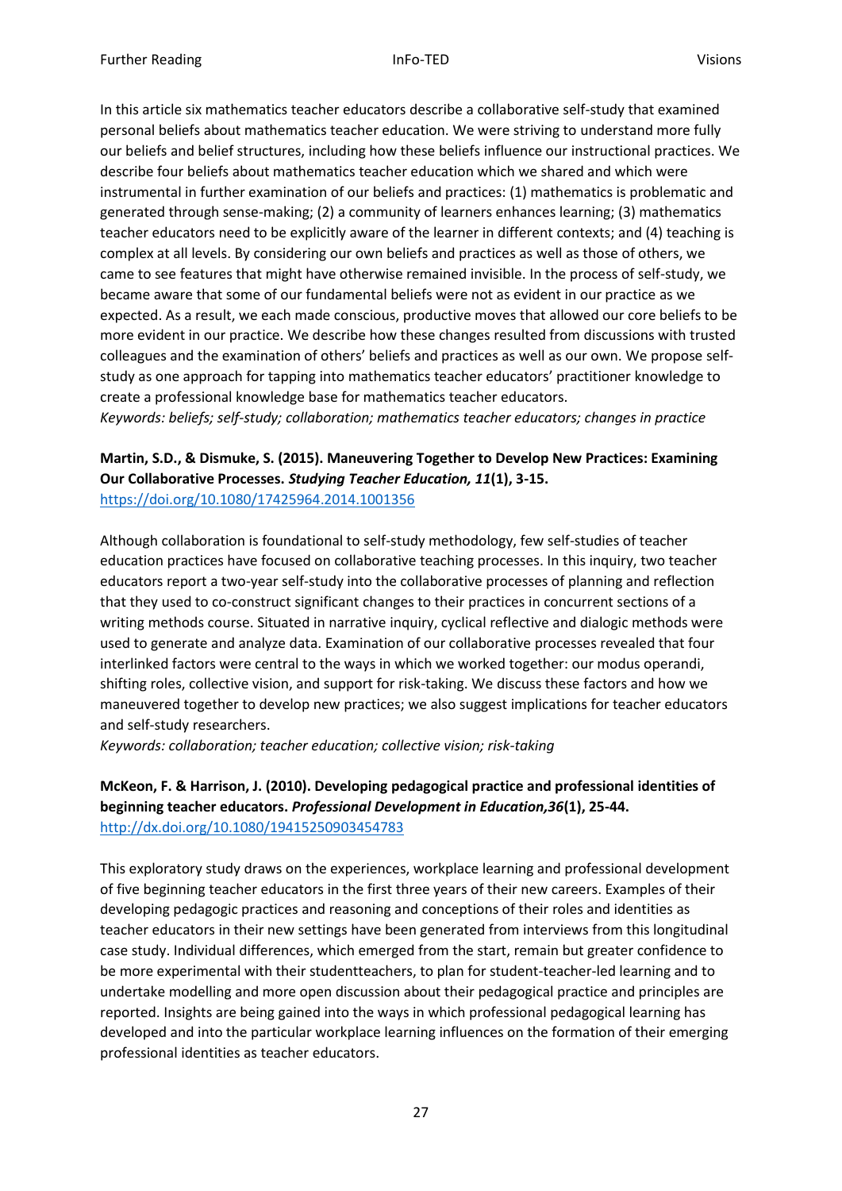In this article six mathematics teacher educators describe a collaborative self-study that examined personal beliefs about mathematics teacher education. We were striving to understand more fully our beliefs and belief structures, including how these beliefs influence our instructional practices. We describe four beliefs about mathematics teacher education which we shared and which were instrumental in further examination of our beliefs and practices: (1) mathematics is problematic and generated through sense-making; (2) a community of learners enhances learning; (3) mathematics teacher educators need to be explicitly aware of the learner in different contexts; and (4) teaching is complex at all levels. By considering our own beliefs and practices as well as those of others, we came to see features that might have otherwise remained invisible. In the process of self-study, we became aware that some of our fundamental beliefs were not as evident in our practice as we expected. As a result, we each made conscious, productive moves that allowed our core beliefs to be more evident in our practice. We describe how these changes resulted from discussions with trusted colleagues and the examination of others' beliefs and practices as well as our own. We propose selfstudy as one approach for tapping into mathematics teacher educators' practitioner knowledge to create a professional knowledge base for mathematics teacher educators. *Keywords: beliefs; self-study; collaboration; mathematics teacher educators; changes in practice*

### **Martin, S.D., & Dismuke, S. (2015). Maneuvering Together to Develop New Practices: Examining Our Collaborative Processes.** *Studying Teacher Education, 11***(1), 3-15.**  <https://doi.org/10.1080/17425964.2014.1001356>

Although collaboration is foundational to self-study methodology, few self-studies of teacher education practices have focused on collaborative teaching processes. In this inquiry, two teacher educators report a two-year self-study into the collaborative processes of planning and reflection that they used to co-construct significant changes to their practices in concurrent sections of a writing methods course. Situated in narrative inquiry, cyclical reflective and dialogic methods were used to generate and analyze data. Examination of our collaborative processes revealed that four interlinked factors were central to the ways in which we worked together: our modus operandi, shifting roles, collective vision, and support for risk-taking. We discuss these factors and how we maneuvered together to develop new practices; we also suggest implications for teacher educators and self-study researchers.

*Keywords: collaboration; teacher education; collective vision; risk-taking* 

### **McKeon, F. & Harrison, J. (2010). Developing pedagogical practice and professional identities of beginning teacher educators.** *Professional Development in Education,36***(1), 25-44.**  <http://dx.doi.org/10.1080/19415250903454783>

This exploratory study draws on the experiences, workplace learning and professional development of five beginning teacher educators in the first three years of their new careers. Examples of their developing pedagogic practices and reasoning and conceptions of their roles and identities as teacher educators in their new settings have been generated from interviews from this longitudinal case study. Individual differences, which emerged from the start, remain but greater confidence to be more experimental with their studentteachers, to plan for student-teacher-led learning and to undertake modelling and more open discussion about their pedagogical practice and principles are reported. Insights are being gained into the ways in which professional pedagogical learning has developed and into the particular workplace learning influences on the formation of their emerging professional identities as teacher educators.